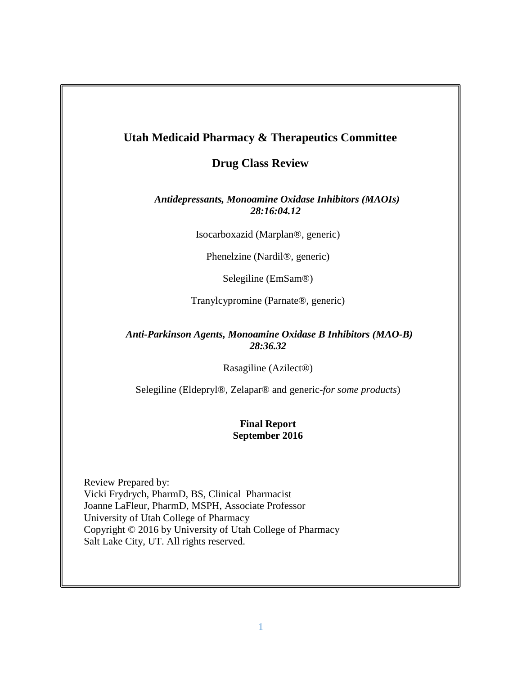# **Utah Medicaid Pharmacy & Therapeutics Committee**

**Drug Class Review**

## *Antidepressants, Monoamine Oxidase Inhibitors (MAOIs) 28:16:04.12*

Isocarboxazid (Marplan®, generic)

Phenelzine (Nardil®, generic)

Selegiline (EmSam®)

Tranylcypromine (Parnate®, generic)

### *[Anti-Parkinson Agents, Monoamine Oxidase B Inhibitors](http://online.lexi.com/lco/action/search/pharmacat/complete_ashp?q=Monoamine+Oxidase+B+Inhibitors) (MAO-B) 28:36.32*

Rasagiline (Azilect®)

Selegiline (Eldepryl®, Zelapar® and generic-*for some products*)

## **Final Report September 2016**

Review Prepared by: Vicki Frydrych, PharmD, BS, Clinical Pharmacist Joanne LaFleur, PharmD, MSPH, Associate Professor University of Utah College of Pharmacy Copyright © 2016 by University of Utah College of Pharmacy Salt Lake City, UT. All rights reserved.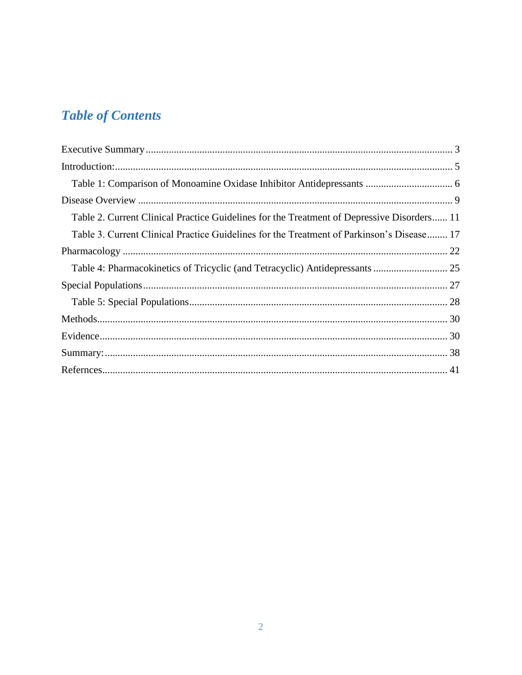# **Table of Contents**

| Table 2. Current Clinical Practice Guidelines for the Treatment of Depressive Disorders 11 |
|--------------------------------------------------------------------------------------------|
| Table 3. Current Clinical Practice Guidelines for the Treatment of Parkinson's Disease 17  |
|                                                                                            |
|                                                                                            |
|                                                                                            |
|                                                                                            |
|                                                                                            |
|                                                                                            |
|                                                                                            |
|                                                                                            |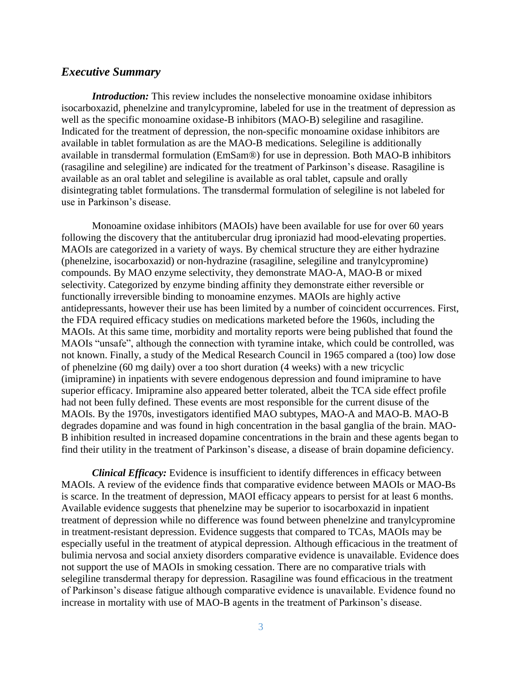### <span id="page-2-0"></span>*Executive Summary*

*Introduction:* This review includes the nonselective monoamine oxidase inhibitors isocarboxazid, phenelzine and tranylcypromine, labeled for use in the treatment of depression as well as the specific monoamine oxidase-B inhibitors (MAO-B) selegiline and rasagiline. Indicated for the treatment of depression, the non-specific monoamine oxidase inhibitors are available in tablet formulation as are the MAO-B medications. Selegiline is additionally available in transdermal formulation (EmSam®) for use in depression. Both MAO-B inhibitors (rasagiline and selegiline) are indicated for the treatment of Parkinson's disease. Rasagiline is available as an oral tablet and selegiline is available as oral tablet, capsule and orally disintegrating tablet formulations. The transdermal formulation of selegiline is not labeled for use in Parkinson's disease.

Monoamine oxidase inhibitors (MAOIs) have been available for use for over 60 years following the discovery that the antitubercular drug iproniazid had mood-elevating properties. MAOIs are categorized in a variety of ways. By chemical structure they are either hydrazine (phenelzine, isocarboxazid) or non-hydrazine (rasagiline, selegiline and tranylcypromine) compounds. By MAO enzyme selectivity, they demonstrate MAO-A, MAO-B or mixed selectivity. Categorized by enzyme binding affinity they demonstrate either reversible or functionally irreversible binding to monoamine enzymes. MAOIs are highly active antidepressants, however their use has been limited by a number of coincident occurrences. First, the FDA required efficacy studies on medications marketed before the 1960s, including the MAOIs. At this same time, morbidity and mortality reports were being published that found the MAOIs "unsafe", although the connection with tyramine intake, which could be controlled, was not known. Finally, a study of the Medical Research Council in 1965 compared a (too) low dose of phenelzine (60 mg daily) over a too short duration (4 weeks) with a new tricyclic (imipramine) in inpatients with severe endogenous depression and found imipramine to have superior efficacy. Imipramine also appeared better tolerated, albeit the TCA side effect profile had not been fully defined. These events are most responsible for the current disuse of the MAOIs. By the 1970s, investigators identified MAO subtypes, MAO-A and MAO-B. MAO-B degrades dopamine and was found in high concentration in the basal ganglia of the brain. MAO-B inhibition resulted in increased dopamine concentrations in the brain and these agents began to find their utility in the treatment of Parkinson's disease, a disease of brain dopamine deficiency.

*Clinical Efficacy:* Evidence is insufficient to identify differences in efficacy between MAOIs. A review of the evidence finds that comparative evidence between MAOIs or MAO-Bs is scarce. In the treatment of depression, MAOI efficacy appears to persist for at least 6 months. Available evidence suggests that phenelzine may be superior to isocarboxazid in inpatient treatment of depression while no difference was found between phenelzine and tranylcypromine in treatment-resistant depression. Evidence suggests that compared to TCAs, MAOIs may be especially useful in the treatment of atypical depression. Although efficacious in the treatment of bulimia nervosa and social anxiety disorders comparative evidence is unavailable. Evidence does not support the use of MAOIs in smoking cessation. There are no comparative trials with selegiline transdermal therapy for depression. Rasagiline was found efficacious in the treatment of Parkinson's disease fatigue although comparative evidence is unavailable. Evidence found no increase in mortality with use of MAO-B agents in the treatment of Parkinson's disease.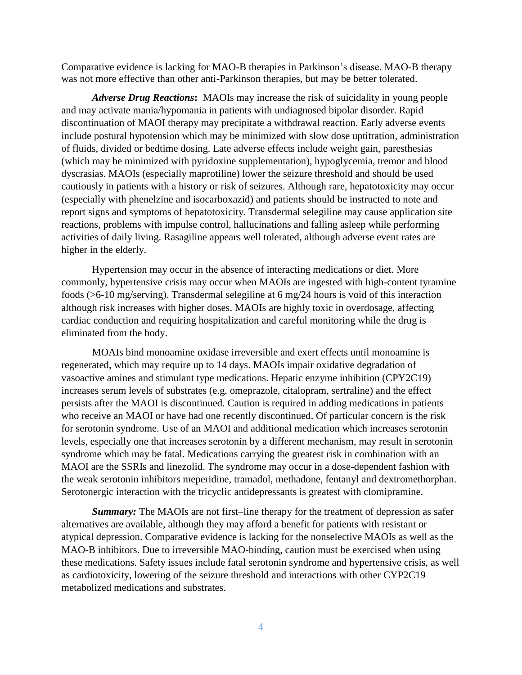Comparative evidence is lacking for MAO-B therapies in Parkinson's disease. MAO-B therapy was not more effective than other anti-Parkinson therapies, but may be better tolerated.

*Adverse Drug Reactions***:** MAOIs may increase the risk of suicidality in young people and may activate mania/hypomania in patients with undiagnosed bipolar disorder. Rapid discontinuation of MAOI therapy may precipitate a withdrawal reaction. Early adverse events include postural hypotension which may be minimized with slow dose uptitration, administration of fluids, divided or bedtime dosing. Late adverse effects include weight gain, paresthesias (which may be minimized with pyridoxine supplementation), hypoglycemia, tremor and blood dyscrasias. MAOIs (especially maprotiline) lower the seizure threshold and should be used cautiously in patients with a history or risk of seizures. Although rare, hepatotoxicity may occur (especially with phenelzine and isocarboxazid) and patients should be instructed to note and report signs and symptoms of hepatotoxicity. Transdermal selegiline may cause application site reactions, problems with impulse control, hallucinations and falling asleep while performing activities of daily living. Rasagiline appears well tolerated, although adverse event rates are higher in the elderly.

Hypertension may occur in the absence of interacting medications or diet. More commonly, hypertensive crisis may occur when MAOIs are ingested with high-content tyramine foods (>6-10 mg/serving). Transdermal selegiline at 6 mg/24 hours is void of this interaction although risk increases with higher doses. MAOIs are highly toxic in overdosage, affecting cardiac conduction and requiring hospitalization and careful monitoring while the drug is eliminated from the body.

MOAIs bind monoamine oxidase irreversible and exert effects until monoamine is regenerated, which may require up to 14 days. MAOIs impair oxidative degradation of vasoactive amines and stimulant type medications. Hepatic enzyme inhibition (CPY2C19) increases serum levels of substrates (e.g. omeprazole, citalopram, sertraline) and the effect persists after the MAOI is discontinued. Caution is required in adding medications in patients who receive an MAOI or have had one recently discontinued. Of particular concern is the risk for serotonin syndrome. Use of an MAOI and additional medication which increases serotonin levels, especially one that increases serotonin by a different mechanism, may result in serotonin syndrome which may be fatal. Medications carrying the greatest risk in combination with an MAOI are the SSRIs and linezolid. The syndrome may occur in a dose-dependent fashion with the weak serotonin inhibitors meperidine, tramadol, methadone, fentanyl and dextromethorphan. Serotonergic interaction with the tricyclic antidepressants is greatest with clomipramine.

*Summary:* The MAOIs are not first–line therapy for the treatment of depression as safer alternatives are available, although they may afford a benefit for patients with resistant or atypical depression. Comparative evidence is lacking for the nonselective MAOIs as well as the MAO-B inhibitors. Due to irreversible MAO-binding, caution must be exercised when using these medications. Safety issues include fatal serotonin syndrome and hypertensive crisis, as well as cardiotoxicity, lowering of the seizure threshold and interactions with other CYP2C19 metabolized medications and substrates.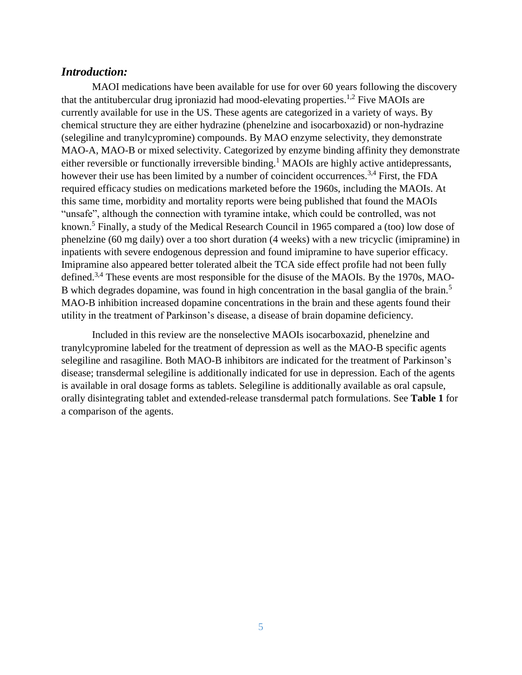### <span id="page-4-0"></span>*Introduction:*

MAOI medications have been available for use for over 60 years following the discovery that the antitubercular drug iproniazid had mood-elevating properties.<sup>1,2</sup> Five MAOIs are currently available for use in the US. These agents are categorized in a variety of ways. By chemical structure they are either hydrazine (phenelzine and isocarboxazid) or non-hydrazine (selegiline and tranylcypromine) compounds. By MAO enzyme selectivity, they demonstrate MAO-A, MAO-B or mixed selectivity. Categorized by enzyme binding affinity they demonstrate either reversible or functionally irreversible binding.<sup>1</sup> MAOIs are highly active antidepressants, however their use has been limited by a number of coincident occurrences.<sup>3,4</sup> First, the FDA required efficacy studies on medications marketed before the 1960s, including the MAOIs. At this same time, morbidity and mortality reports were being published that found the MAOIs "unsafe", although the connection with tyramine intake, which could be controlled, was not known.<sup>5</sup> Finally, a study of the Medical Research Council in 1965 compared a (too) low dose of phenelzine (60 mg daily) over a too short duration (4 weeks) with a new tricyclic (imipramine) in inpatients with severe endogenous depression and found imipramine to have superior efficacy. Imipramine also appeared better tolerated albeit the TCA side effect profile had not been fully defined.<sup>3,4</sup> These events are most responsible for the disuse of the MAOIs. By the 1970s, MAO-B which degrades dopamine, was found in high concentration in the basal ganglia of the brain.<sup>5</sup> MAO-B inhibition increased dopamine concentrations in the brain and these agents found their utility in the treatment of Parkinson's disease, a disease of brain dopamine deficiency.

Included in this review are the nonselective MAOIs isocarboxazid, phenelzine and tranylcypromine labeled for the treatment of depression as well as the MAO-B specific agents selegiline and rasagiline. Both MAO-B inhibitors are indicated for the treatment of Parkinson's disease; transdermal selegiline is additionally indicated for use in depression. Each of the agents is available in oral dosage forms as tablets. Selegiline is additionally available as oral capsule, orally disintegrating tablet and extended-release transdermal patch formulations. See **Table 1** for a comparison of the agents.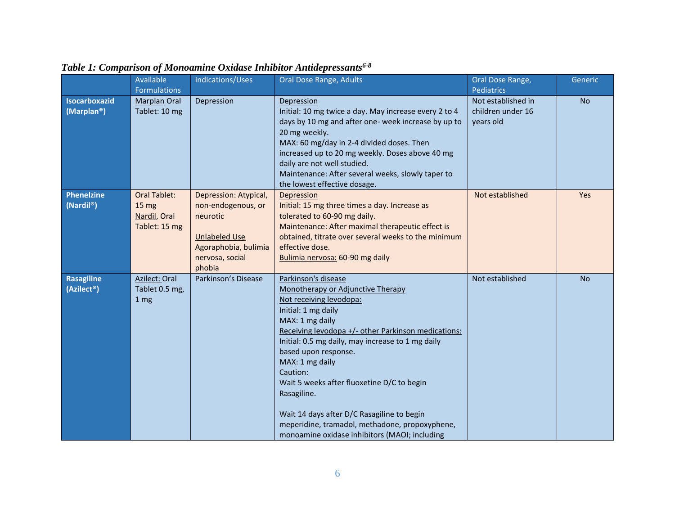<span id="page-5-0"></span>

|                                                 | Available<br><b>Formulations</b>                                         | Indications/Uses                                                                                                                     | Oral Dose Range, Adults                                                                                                                                                                                                                                                                                                                                                                                                                                                                                        | Oral Dose Range,<br><b>Pediatrics</b>                | Generic   |
|-------------------------------------------------|--------------------------------------------------------------------------|--------------------------------------------------------------------------------------------------------------------------------------|----------------------------------------------------------------------------------------------------------------------------------------------------------------------------------------------------------------------------------------------------------------------------------------------------------------------------------------------------------------------------------------------------------------------------------------------------------------------------------------------------------------|------------------------------------------------------|-----------|
| <b>Isocarboxazid</b><br>(Marplan <sup>®</sup> ) | Marplan Oral<br>Tablet: 10 mg                                            | Depression                                                                                                                           | Depression<br>Initial: 10 mg twice a day. May increase every 2 to 4<br>days by 10 mg and after one- week increase by up to<br>20 mg weekly.<br>MAX: 60 mg/day in 2-4 divided doses. Then<br>increased up to 20 mg weekly. Doses above 40 mg<br>daily are not well studied.<br>Maintenance: After several weeks, slowly taper to<br>the lowest effective dosage.                                                                                                                                                | Not established in<br>children under 16<br>years old | <b>No</b> |
| <b>Phenelzine</b><br>(Nardil®)                  | <b>Oral Tablet:</b><br>15 <sub>mg</sub><br>Nardil, Oral<br>Tablet: 15 mg | Depression: Atypical,<br>non-endogenous, or<br>neurotic<br><b>Unlabeled Use</b><br>Agoraphobia, bulimia<br>nervosa, social<br>phobia | Depression<br>Initial: 15 mg three times a day. Increase as<br>tolerated to 60-90 mg daily.<br>Maintenance: After maximal therapeutic effect is<br>obtained, titrate over several weeks to the minimum<br>effective dose.<br>Bulimia nervosa: 60-90 mg daily                                                                                                                                                                                                                                                   | Not established                                      | Yes       |
| <b>Rasagiline</b><br>(Azilect <sup>®</sup> )    | Azilect: Oral<br>Tablet 0.5 mg,<br>1 <sub>mg</sub>                       | Parkinson's Disease                                                                                                                  | Parkinson's disease<br>Monotherapy or Adjunctive Therapy<br>Not receiving levodopa:<br>Initial: 1 mg daily<br>MAX: 1 mg daily<br>Receiving levodopa +/- other Parkinson medications:<br>Initial: 0.5 mg daily, may increase to 1 mg daily<br>based upon response.<br>MAX: 1 mg daily<br>Caution:<br>Wait 5 weeks after fluoxetine D/C to begin<br>Rasagiline.<br>Wait 14 days after D/C Rasagiline to begin<br>meperidine, tramadol, methadone, propoxyphene,<br>monoamine oxidase inhibitors (MAOI; including | Not established                                      | <b>No</b> |

# *Table 1: Comparison of Monoamine Oxidase Inhibitor Antidepressants6-8*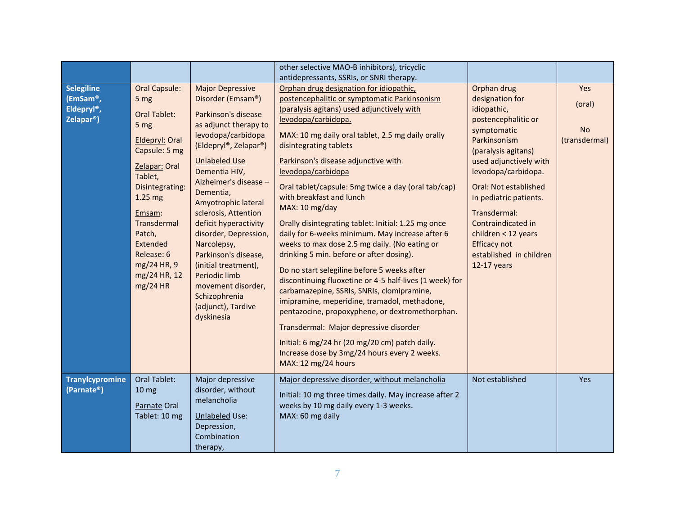|                                                                       |                                                                                                                                                                                                                                                                  |                                                                                                                                                                                                                                                                                                                                                                                                                                                                                 | other selective MAO-B inhibitors), tricyclic<br>antidepressants, SSRIs, or SNRI therapy.                                                                                                                                                                                                                                                                                                                                                                                                                                                                                                                                                                                                                                                                                                                                                                                                                                                                                                                                                           |                                                                                                                                                                                                                                                                                                                                                                     |                                             |
|-----------------------------------------------------------------------|------------------------------------------------------------------------------------------------------------------------------------------------------------------------------------------------------------------------------------------------------------------|---------------------------------------------------------------------------------------------------------------------------------------------------------------------------------------------------------------------------------------------------------------------------------------------------------------------------------------------------------------------------------------------------------------------------------------------------------------------------------|----------------------------------------------------------------------------------------------------------------------------------------------------------------------------------------------------------------------------------------------------------------------------------------------------------------------------------------------------------------------------------------------------------------------------------------------------------------------------------------------------------------------------------------------------------------------------------------------------------------------------------------------------------------------------------------------------------------------------------------------------------------------------------------------------------------------------------------------------------------------------------------------------------------------------------------------------------------------------------------------------------------------------------------------------|---------------------------------------------------------------------------------------------------------------------------------------------------------------------------------------------------------------------------------------------------------------------------------------------------------------------------------------------------------------------|---------------------------------------------|
| <b>Selegiline</b><br>(EmSam®,<br>Eldepryl®,<br>Zelapar <sup>®</sup> ) | <b>Oral Capsule:</b><br>5 mg<br><b>Oral Tablet:</b><br>5 mg<br>Eldepryl: Oral<br>Capsule: 5 mg<br>Zelapar: Oral<br>Tablet,<br>Disintegrating:<br>1.25 mg<br>Emsam:<br>Transdermal<br>Patch,<br>Extended<br>Release: 6<br>mg/24 HR, 9<br>mg/24 HR, 12<br>mg/24 HR | <b>Major Depressive</b><br>Disorder (Emsam®)<br>Parkinson's disease<br>as adjunct therapy to<br>levodopa/carbidopa<br>(Eldepryl®, Zelapar®)<br>Unlabeled Use<br>Dementia HIV,<br>Alzheimer's disease -<br>Dementia,<br>Amyotrophic lateral<br>sclerosis, Attention<br>deficit hyperactivity<br>disorder, Depression,<br>Narcolepsy,<br>Parkinson's disease,<br>(initial treatment),<br>Periodic limb<br>movement disorder,<br>Schizophrenia<br>(adjunct), Tardive<br>dyskinesia | Orphan drug designation for idiopathic,<br>postencephalitic or symptomatic Parkinsonism<br>(paralysis agitans) used adjunctively with<br>levodopa/carbidopa.<br>MAX: 10 mg daily oral tablet, 2.5 mg daily orally<br>disintegrating tablets<br>Parkinson's disease adjunctive with<br>levodopa/carbidopa<br>Oral tablet/capsule: 5mg twice a day (oral tab/cap)<br>with breakfast and lunch<br>MAX: 10 mg/day<br>Orally disintegrating tablet: Initial: 1.25 mg once<br>daily for 6-weeks minimum. May increase after 6<br>weeks to max dose 2.5 mg daily. (No eating or<br>drinking 5 min. before or after dosing).<br>Do no start selegiline before 5 weeks after<br>discontinuing fluoxetine or 4-5 half-lives (1 week) for<br>carbamazepine, SSRIs, SNRIs, clomipramine,<br>imipramine, meperidine, tramadol, methadone,<br>pentazocine, propoxyphene, or dextromethorphan.<br>Transdermal: Major depressive disorder<br>Initial: 6 mg/24 hr (20 mg/20 cm) patch daily.<br>Increase dose by 3mg/24 hours every 2 weeks.<br>MAX: 12 mg/24 hours | Orphan drug<br>designation for<br>idiopathic,<br>postencephalitic or<br>symptomatic<br>Parkinsonism<br>(paralysis agitans)<br>used adjunctively with<br>levodopa/carbidopa.<br><b>Oral: Not established</b><br>in pediatric patients.<br>Transdermal:<br>Contraindicated in<br>children < 12 years<br><b>Efficacy not</b><br>established in children<br>12-17 years | Yes<br>(oral)<br><b>No</b><br>(transdermal) |
| <b>Tranylcypromine</b><br>(Parnate®)                                  | Oral Tablet:<br>$10 \text{ mg}$<br>Parnate Oral<br>Tablet: 10 mg                                                                                                                                                                                                 | Major depressive<br>disorder, without<br>melancholia<br><b>Unlabeled Use:</b><br>Depression,<br>Combination<br>therapy,                                                                                                                                                                                                                                                                                                                                                         | Major depressive disorder, without melancholia<br>Initial: 10 mg three times daily. May increase after 2<br>weeks by 10 mg daily every 1-3 weeks.<br>MAX: 60 mg daily                                                                                                                                                                                                                                                                                                                                                                                                                                                                                                                                                                                                                                                                                                                                                                                                                                                                              | Not established                                                                                                                                                                                                                                                                                                                                                     | Yes                                         |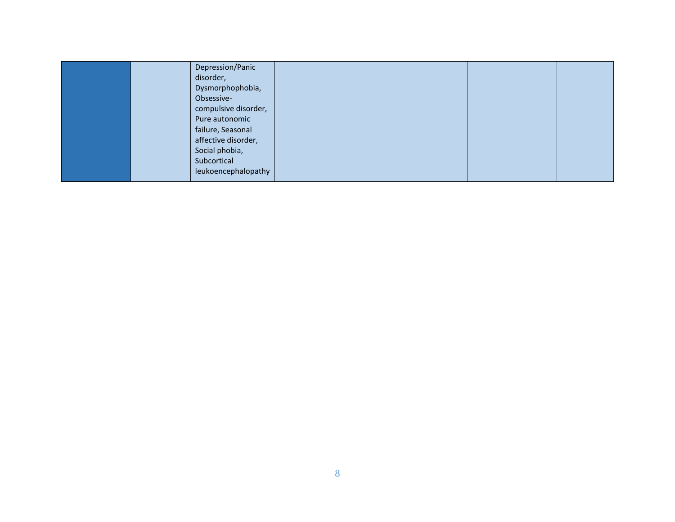|  | Depression/Panic     |  |  |
|--|----------------------|--|--|
|  | disorder,            |  |  |
|  | Dysmorphophobia,     |  |  |
|  | Obsessive-           |  |  |
|  | compulsive disorder, |  |  |
|  | Pure autonomic       |  |  |
|  | failure, Seasonal    |  |  |
|  | affective disorder,  |  |  |
|  | Social phobia,       |  |  |
|  | Subcortical          |  |  |
|  | leukoencephalopathy  |  |  |
|  |                      |  |  |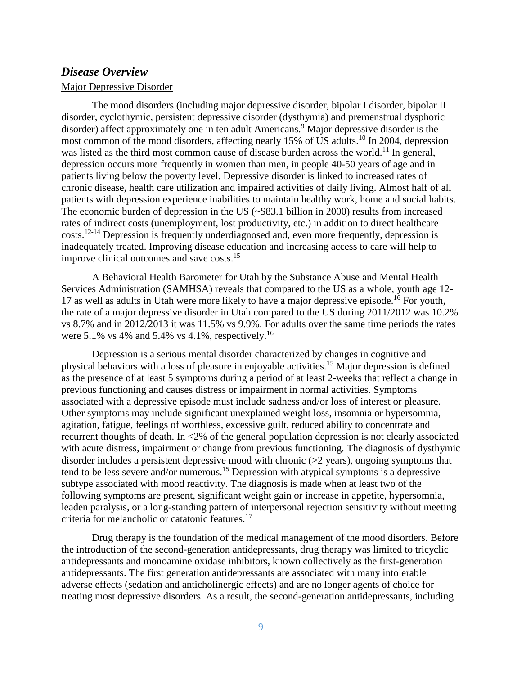### <span id="page-8-0"></span>*Disease Overview*

#### Major Depressive Disorder

The mood disorders (including major depressive disorder, bipolar I disorder, bipolar II disorder, cyclothymic, persistent depressive disorder (dysthymia) and premenstrual dysphoric disorder) affect approximately one in ten adult Americans.<sup>9</sup> Major depressive disorder is the most common of the mood disorders, affecting nearly 15% of US adults.<sup>10</sup> In 2004, depression was listed as the third most common cause of disease burden across the world.<sup>11</sup> In general, depression occurs more frequently in women than men, in people 40-50 years of age and in patients living below the poverty level. Depressive disorder is linked to increased rates of chronic disease, health care utilization and impaired activities of daily living. Almost half of all patients with depression experience inabilities to maintain healthy work, home and social habits. The economic burden of depression in the US (~\$83.1 billion in 2000) results from increased rates of indirect costs (unemployment, lost productivity, etc.) in addition to direct healthcare costs.12-14 Depression is frequently underdiagnosed and, even more frequently, depression is inadequately treated. Improving disease education and increasing access to care will help to improve clinical outcomes and save costs.<sup>15</sup>

A Behavioral Health Barometer for Utah by the Substance Abuse and Mental Health Services Administration (SAMHSA) reveals that compared to the US as a whole, youth age 12- 17 as well as adults in Utah were more likely to have a major depressive episode.<sup>16</sup> For youth, the rate of a major depressive disorder in Utah compared to the US during 2011/2012 was 10.2% vs 8.7% and in 2012/2013 it was 11.5% vs 9.9%. For adults over the same time periods the rates were 5.1% vs 4% and 5.4% vs 4.1%, respectively.<sup>16</sup>

Depression is a serious mental disorder characterized by changes in cognitive and physical behaviors with a loss of pleasure in enjoyable activities.<sup>15</sup> Major depression is defined as the presence of at least 5 symptoms during a period of at least 2-weeks that reflect a change in previous functioning and causes distress or impairment in normal activities. Symptoms associated with a depressive episode must include sadness and/or loss of interest or pleasure. Other symptoms may include significant unexplained weight loss, insomnia or hypersomnia, agitation, fatigue, feelings of worthless, excessive guilt, reduced ability to concentrate and recurrent thoughts of death. In <2% of the general population depression is not clearly associated with acute distress, impairment or change from previous functioning. The diagnosis of dysthymic disorder includes a persistent depressive mood with chronic ( $>2$  years), ongoing symptoms that tend to be less severe and/or numerous.<sup>15</sup> Depression with atypical symptoms is a depressive subtype associated with mood reactivity. The diagnosis is made when at least two of the following symptoms are present, significant weight gain or increase in appetite, hypersomnia, leaden paralysis, or a long-standing pattern of interpersonal rejection sensitivity without meeting criteria for melancholic or catatonic features.<sup>17</sup>

Drug therapy is the foundation of the medical management of the mood disorders. Before the introduction of the second-generation antidepressants, drug therapy was limited to tricyclic antidepressants and monoamine oxidase inhibitors, known collectively as the first-generation antidepressants. The first generation antidepressants are associated with many intolerable adverse effects (sedation and anticholinergic effects) and are no longer agents of choice for treating most depressive disorders. As a result, the second-generation antidepressants, including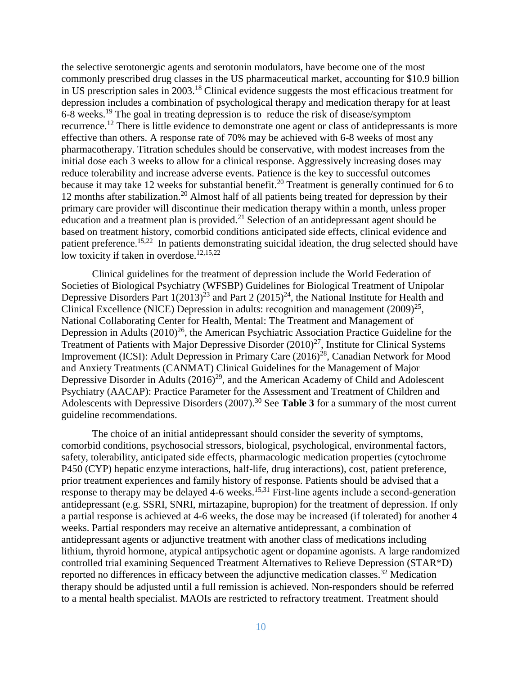the selective serotonergic agents and serotonin modulators, have become one of the most commonly prescribed drug classes in the US pharmaceutical market, accounting for \$10.9 billion in US prescription sales in 2003.<sup>18</sup> Clinical evidence suggests the most efficacious treatment for depression includes a combination of psychological therapy and medication therapy for at least  $6-8$  weeks.<sup>19</sup> The goal in treating depression is to reduce the risk of disease/symptom recurrence.<sup>12</sup> There is little evidence to demonstrate one agent or class of antidepressants is more effective than others. A response rate of 70% may be achieved with 6-8 weeks of most any pharmacotherapy. Titration schedules should be conservative, with modest increases from the initial dose each 3 weeks to allow for a clinical response. Aggressively increasing doses may reduce tolerability and increase adverse events. Patience is the key to successful outcomes because it may take 12 weeks for substantial benefit.<sup>20</sup> Treatment is generally continued for 6 to 12 months after stabilization.<sup>20</sup> Almost half of all patients being treated for depression by their primary care provider will discontinue their medication therapy within a month, unless proper education and a treatment plan is provided.<sup>21</sup> Selection of an antidepressant agent should be based on treatment history, comorbid conditions anticipated side effects, clinical evidence and patient preference.<sup>15,22</sup> In patients demonstrating suicidal ideation, the drug selected should have low toxicity if taken in overdose.<sup>12,15,22</sup>

Clinical guidelines for the treatment of depression include the World Federation of Societies of Biological Psychiatry (WFSBP) Guidelines for Biological Treatment of Unipolar Depressive Disorders Part  $1(2013)^{23}$  and Part 2  $(2015)^{24}$ , the National Institute for Health and Clinical Excellence (NICE) Depression in adults: recognition and management  $(2009)^{25}$ , National Collaborating Center for Health, Mental: The Treatment and Management of Depression in Adults  $(2010)^{26}$ , the American Psychiatric Association Practice Guideline for the Treatment of Patients with Major Depressive Disorder  $(2010)^{27}$ , Institute for Clinical Systems Improvement (ICSI): Adult Depression in Primary Care (2016)<sup>28</sup>, Canadian Network for Mood and Anxiety Treatments (CANMAT) Clinical Guidelines for the Management of Major Depressive Disorder in Adults (2016)<sup>29</sup>, and the American Academy of Child and Adolescent Psychiatry (AACAP): Practice Parameter for the Assessment and Treatment of Children and Adolescents with Depressive Disorders (2007).<sup>30</sup> See **Table 3** for a summary of the most current guideline recommendations.

The choice of an initial antidepressant should consider the severity of symptoms, comorbid conditions, psychosocial stressors, biological, psychological, environmental factors, safety, tolerability, anticipated side effects, pharmacologic medication properties (cytochrome P450 (CYP) hepatic enzyme interactions, half-life, drug interactions), cost, patient preference, prior treatment experiences and family history of response. Patients should be advised that a response to therapy may be delayed 4-6 weeks.<sup>15,31</sup> First-line agents include a second-generation antidepressant (e.g. SSRI, SNRI, mirtazapine, bupropion) for the treatment of depression. If only a partial response is achieved at 4-6 weeks, the dose may be increased (if tolerated) for another 4 weeks. Partial responders may receive an alternative antidepressant, a combination of antidepressant agents or adjunctive treatment with another class of medications including lithium, thyroid hormone, atypical antipsychotic agent or dopamine agonists. A large randomized controlled trial examining Sequenced Treatment Alternatives to Relieve Depression (STAR\*D) reported no differences in efficacy between the adjunctive medication classes.<sup>32</sup> Medication therapy should be adjusted until a full remission is achieved. Non-responders should be referred to a mental health specialist. MAOIs are restricted to refractory treatment. Treatment should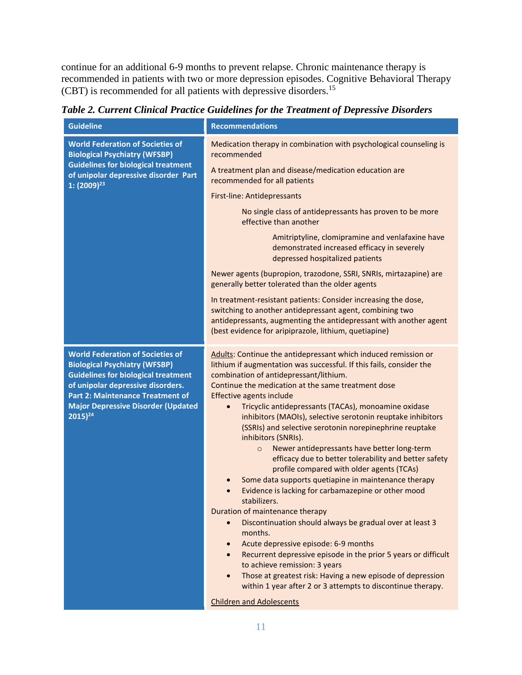continue for an additional 6-9 months to prevent relapse. Chronic maintenance therapy is recommended in patients with two or more depression episodes. Cognitive Behavioral Therapy (CBT) is recommended for all patients with depressive disorders.<sup>15</sup>

**Guideline Recommendations Recommendations World Federation of Societies of Biological Psychiatry (WFSBP) Guidelines for biological treatment of unipolar depressive disorder Part 1: (2009) 23** Medication therapy in combination with psychological counseling is recommended A treatment plan and disease/medication education are recommended for all patients First-line: Antidepressants No single class of antidepressants has proven to be more effective than another Amitriptyline, clomipramine and venlafaxine have demonstrated increased efficacy in severely depressed hospitalized patients Newer agents (bupropion, trazodone, SSRI, SNRIs, mirtazapine) are generally better tolerated than the older agents In treatment-resistant patients: Consider increasing the dose, switching to another antidepressant agent, combining two antidepressants, augmenting the antidepressant with another agent (best evidence for aripiprazole, lithium, quetiapine) **World Federation of Societies of Biological Psychiatry (WFSBP) Guidelines for biological treatment of unipolar depressive disorders. Part 2: Maintenance Treatment of Major Depressive Disorder (Updated 2015)<sup>24</sup>** Adults: Continue the antidepressant which induced remission or lithium if augmentation was successful. If this fails, consider the combination of antidepressant/lithium. Continue the medication at the same treatment dose Effective agents include Tricyclic antidepressants (TACAs), monoamine oxidase inhibitors (MAOIs), selective serotonin reuptake inhibitors (SSRIs) and selective serotonin norepinephrine reuptake inhibitors (SNRIs). o Newer antidepressants have better long-term efficacy due to better tolerability and better safety profile compared with older agents (TCAs) Some data supports quetiapine in maintenance therapy Evidence is lacking for carbamazepine or other mood stabilizers. Duration of maintenance therapy Discontinuation should always be gradual over at least 3 months. Acute depressive episode: 6-9 months Recurrent depressive episode in the prior 5 years or difficult to achieve remission: 3 years Those at greatest risk: Having a new episode of depression within 1 year after 2 or 3 attempts to discontinue therapy. Children and Adolescents

#### <span id="page-10-0"></span>*Table 2. Current Clinical Practice Guidelines for the Treatment of Depressive Disorders*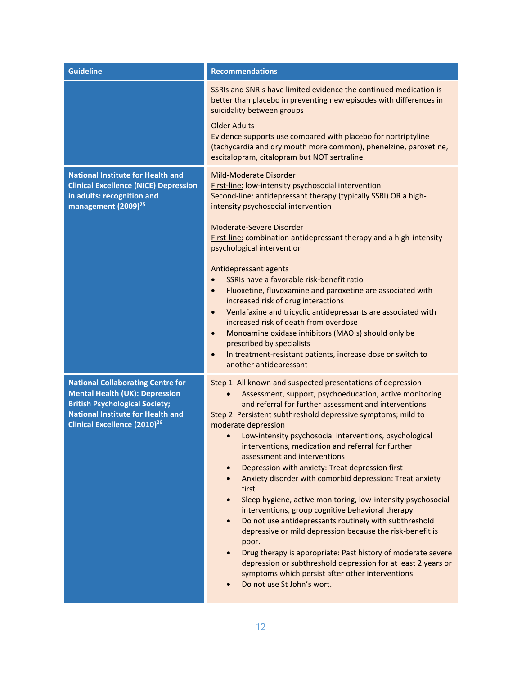| <b>Guideline</b>                                                                                                                                                                                                         | <b>Recommendations</b>                                                                                                                                                                                                                                                                                                                                                                                                                                                                                                                                                                                                                                                                                                                                                                                                                                                                                                                                                                                                                                                      |
|--------------------------------------------------------------------------------------------------------------------------------------------------------------------------------------------------------------------------|-----------------------------------------------------------------------------------------------------------------------------------------------------------------------------------------------------------------------------------------------------------------------------------------------------------------------------------------------------------------------------------------------------------------------------------------------------------------------------------------------------------------------------------------------------------------------------------------------------------------------------------------------------------------------------------------------------------------------------------------------------------------------------------------------------------------------------------------------------------------------------------------------------------------------------------------------------------------------------------------------------------------------------------------------------------------------------|
|                                                                                                                                                                                                                          | SSRIs and SNRIs have limited evidence the continued medication is<br>better than placebo in preventing new episodes with differences in<br>suicidality between groups                                                                                                                                                                                                                                                                                                                                                                                                                                                                                                                                                                                                                                                                                                                                                                                                                                                                                                       |
|                                                                                                                                                                                                                          | Older Adults<br>Evidence supports use compared with placebo for nortriptyline<br>(tachycardia and dry mouth more common), phenelzine, paroxetine,<br>escitalopram, citalopram but NOT sertraline.                                                                                                                                                                                                                                                                                                                                                                                                                                                                                                                                                                                                                                                                                                                                                                                                                                                                           |
| <b>National Institute for Health and</b><br><b>Clinical Excellence (NICE) Depression</b><br>in adults: recognition and<br>management (2009) <sup>25</sup>                                                                | Mild-Moderate Disorder<br>First-line: low-intensity psychosocial intervention<br>Second-line: antidepressant therapy (typically SSRI) OR a high-<br>intensity psychosocial intervention                                                                                                                                                                                                                                                                                                                                                                                                                                                                                                                                                                                                                                                                                                                                                                                                                                                                                     |
|                                                                                                                                                                                                                          | Moderate-Severe Disorder<br>First-line: combination antidepressant therapy and a high-intensity<br>psychological intervention                                                                                                                                                                                                                                                                                                                                                                                                                                                                                                                                                                                                                                                                                                                                                                                                                                                                                                                                               |
|                                                                                                                                                                                                                          | Antidepressant agents<br>SSRIs have a favorable risk-benefit ratio<br>Fluoxetine, fluvoxamine and paroxetine are associated with<br>$\bullet$<br>increased risk of drug interactions<br>Venlafaxine and tricyclic antidepressants are associated with<br>$\bullet$<br>increased risk of death from overdose<br>Monoamine oxidase inhibitors (MAOIs) should only be<br>$\bullet$<br>prescribed by specialists<br>In treatment-resistant patients, increase dose or switch to<br>$\bullet$<br>another antidepressant                                                                                                                                                                                                                                                                                                                                                                                                                                                                                                                                                          |
| <b>National Collaborating Centre for</b><br><b>Mental Health (UK): Depression</b><br><b>British Psychological Society;</b><br><b>National Institute for Health and</b><br><b>Clinical Excellence (2010)<sup>26</sup></b> | Step 1: All known and suspected presentations of depression<br>Assessment, support, psychoeducation, active monitoring<br>$\bullet$<br>and referral for further assessment and interventions<br>Step 2: Persistent subthreshold depressive symptoms; mild to<br>moderate depression<br>Low-intensity psychosocial interventions, psychological<br>interventions, medication and referral for further<br>assessment and interventions<br>Depression with anxiety: Treat depression first<br>Anxiety disorder with comorbid depression: Treat anxiety<br>$\bullet$<br>first<br>Sleep hygiene, active monitoring, low-intensity psychosocial<br>$\bullet$<br>interventions, group cognitive behavioral therapy<br>Do not use antidepressants routinely with subthreshold<br>$\bullet$<br>depressive or mild depression because the risk-benefit is<br>poor.<br>Drug therapy is appropriate: Past history of moderate severe<br>depression or subthreshold depression for at least 2 years or<br>symptoms which persist after other interventions<br>Do not use St John's wort. |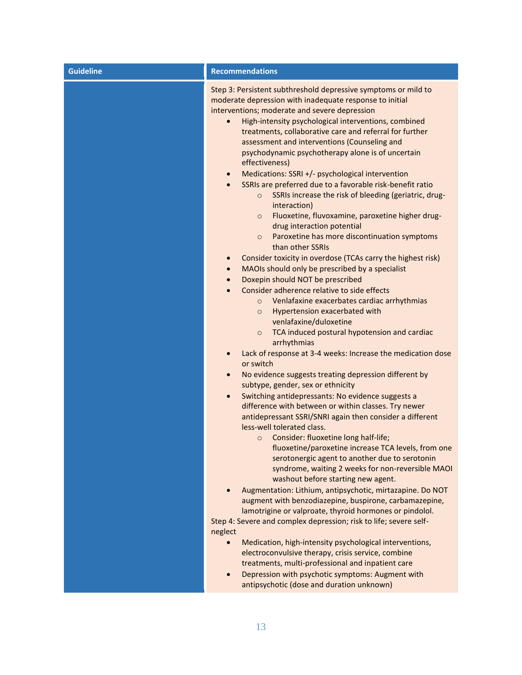| <b>Guideline</b> | <b>Recommendations</b>                                                                                                                                                                                                                                                                                                                                                                                                                                                                                                                                                                                                                                                                                                                                                                                                                                                                                                                                                                                                                                                                                                                                                                                                                                                                                                                                                                                                                                                                                                                                                                                                                                                                                                                                                                                                             |
|------------------|------------------------------------------------------------------------------------------------------------------------------------------------------------------------------------------------------------------------------------------------------------------------------------------------------------------------------------------------------------------------------------------------------------------------------------------------------------------------------------------------------------------------------------------------------------------------------------------------------------------------------------------------------------------------------------------------------------------------------------------------------------------------------------------------------------------------------------------------------------------------------------------------------------------------------------------------------------------------------------------------------------------------------------------------------------------------------------------------------------------------------------------------------------------------------------------------------------------------------------------------------------------------------------------------------------------------------------------------------------------------------------------------------------------------------------------------------------------------------------------------------------------------------------------------------------------------------------------------------------------------------------------------------------------------------------------------------------------------------------------------------------------------------------------------------------------------------------|
|                  | Step 3: Persistent subthreshold depressive symptoms or mild to<br>moderate depression with inadequate response to initial<br>interventions; moderate and severe depression<br>High-intensity psychological interventions, combined<br>treatments, collaborative care and referral for further<br>assessment and interventions (Counseling and<br>psychodynamic psychotherapy alone is of uncertain<br>effectiveness)<br>Medications: SSRI +/- psychological intervention<br>$\bullet$<br>SSRIs are preferred due to a favorable risk-benefit ratio<br>SSRIs increase the risk of bleeding (geriatric, drug-<br>$\circ$<br>interaction)<br>Fluoxetine, fluvoxamine, paroxetine higher drug-<br>$\circ$<br>drug interaction potential<br>Paroxetine has more discontinuation symptoms<br>$\circ$<br>than other SSRIs<br>Consider toxicity in overdose (TCAs carry the highest risk)<br>$\bullet$<br>MAOIs should only be prescribed by a specialist<br>Doxepin should NOT be prescribed<br>$\bullet$<br>Consider adherence relative to side effects<br>Venlafaxine exacerbates cardiac arrhythmias<br>$\circ$<br>Hypertension exacerbated with<br>$\circ$<br>venlafaxine/duloxetine<br>TCA induced postural hypotension and cardiac<br>$\circ$<br>arrhythmias<br>Lack of response at 3-4 weeks: Increase the medication dose<br>or switch<br>No evidence suggests treating depression different by<br>$\bullet$<br>subtype, gender, sex or ethnicity<br>Switching antidepressants: No evidence suggests a<br>$\bullet$<br>difference with between or within classes. Try newer<br>antidepressant SSRI/SNRI again then consider a different<br>less-well tolerated class.<br>Consider: fluoxetine long half-life;<br>$\circ$<br>fluoxetine/paroxetine increase TCA levels, from one<br>serotonergic agent to another due to serotonin |
|                  | syndrome, waiting 2 weeks for non-reversible MAOI<br>washout before starting new agent.                                                                                                                                                                                                                                                                                                                                                                                                                                                                                                                                                                                                                                                                                                                                                                                                                                                                                                                                                                                                                                                                                                                                                                                                                                                                                                                                                                                                                                                                                                                                                                                                                                                                                                                                            |
|                  | Augmentation: Lithium, antipsychotic, mirtazapine. Do NOT<br>augment with benzodiazepine, buspirone, carbamazepine,<br>lamotrigine or valproate, thyroid hormones or pindolol.<br>Step 4: Severe and complex depression; risk to life; severe self-<br>neglect                                                                                                                                                                                                                                                                                                                                                                                                                                                                                                                                                                                                                                                                                                                                                                                                                                                                                                                                                                                                                                                                                                                                                                                                                                                                                                                                                                                                                                                                                                                                                                     |
|                  | Medication, high-intensity psychological interventions,<br>electroconvulsive therapy, crisis service, combine<br>treatments, multi-professional and inpatient care<br>Depression with psychotic symptoms: Augment with<br>antipsychotic (dose and duration unknown)                                                                                                                                                                                                                                                                                                                                                                                                                                                                                                                                                                                                                                                                                                                                                                                                                                                                                                                                                                                                                                                                                                                                                                                                                                                                                                                                                                                                                                                                                                                                                                |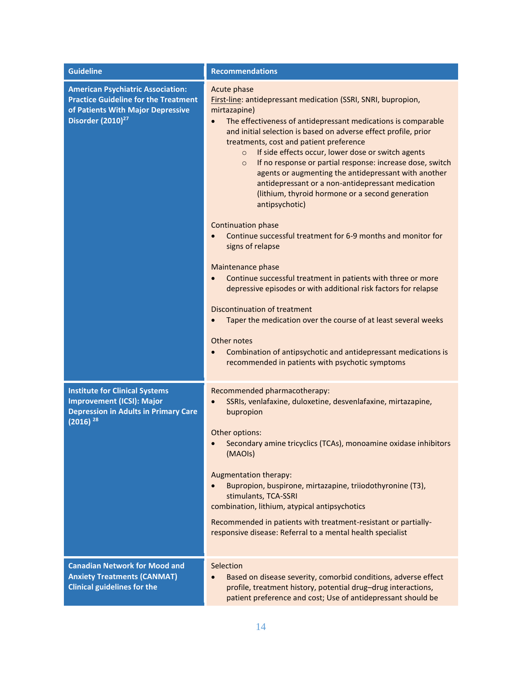| <b>Guideline</b>                                                                                                                                              | <b>Recommendations</b>                                                                                                                                                                                                                                                                                                                                                                                                                                                                                                                                                                                               |
|---------------------------------------------------------------------------------------------------------------------------------------------------------------|----------------------------------------------------------------------------------------------------------------------------------------------------------------------------------------------------------------------------------------------------------------------------------------------------------------------------------------------------------------------------------------------------------------------------------------------------------------------------------------------------------------------------------------------------------------------------------------------------------------------|
| <b>American Psychiatric Association:</b><br><b>Practice Guideline for the Treatment</b><br>of Patients With Major Depressive<br>Disorder (2010) <sup>27</sup> | Acute phase<br>First-line: antidepressant medication (SSRI, SNRI, bupropion,<br>mirtazapine)<br>The effectiveness of antidepressant medications is comparable<br>$\bullet$<br>and initial selection is based on adverse effect profile, prior<br>treatments, cost and patient preference<br>If side effects occur, lower dose or switch agents<br>$\circ$<br>If no response or partial response: increase dose, switch<br>$\circ$<br>agents or augmenting the antidepressant with another<br>antidepressant or a non-antidepressant medication<br>(lithium, thyroid hormone or a second generation<br>antipsychotic) |
|                                                                                                                                                               | <b>Continuation phase</b><br>Continue successful treatment for 6-9 months and monitor for<br>signs of relapse                                                                                                                                                                                                                                                                                                                                                                                                                                                                                                        |
|                                                                                                                                                               | Maintenance phase<br>Continue successful treatment in patients with three or more<br>depressive episodes or with additional risk factors for relapse                                                                                                                                                                                                                                                                                                                                                                                                                                                                 |
|                                                                                                                                                               | <b>Discontinuation of treatment</b><br>Taper the medication over the course of at least several weeks                                                                                                                                                                                                                                                                                                                                                                                                                                                                                                                |
|                                                                                                                                                               | Other notes<br>Combination of antipsychotic and antidepressant medications is<br>recommended in patients with psychotic symptoms                                                                                                                                                                                                                                                                                                                                                                                                                                                                                     |
| <b>Institute for Clinical Systems</b><br><b>Improvement (ICSI): Major</b><br><b>Depression in Adults in Primary Care</b><br>$(2016)$ <sup>28</sup>            | Recommended pharmacotherapy:<br>SSRIs, venlafaxine, duloxetine, desvenlafaxine, mirtazapine,<br>$\bullet$<br>bupropion                                                                                                                                                                                                                                                                                                                                                                                                                                                                                               |
|                                                                                                                                                               | Other options:<br>Secondary amine tricyclics (TCAs), monoamine oxidase inhibitors<br>(MAOIs)                                                                                                                                                                                                                                                                                                                                                                                                                                                                                                                         |
|                                                                                                                                                               | Augmentation therapy:<br>Bupropion, buspirone, mirtazapine, triiodothyronine (T3),<br>stimulants, TCA-SSRI<br>combination, lithium, atypical antipsychotics                                                                                                                                                                                                                                                                                                                                                                                                                                                          |
|                                                                                                                                                               | Recommended in patients with treatment-resistant or partially-<br>responsive disease: Referral to a mental health specialist                                                                                                                                                                                                                                                                                                                                                                                                                                                                                         |
| <b>Canadian Network for Mood and</b><br><b>Anxiety Treatments (CANMAT)</b><br><b>Clinical guidelines for the</b>                                              | Selection<br>Based on disease severity, comorbid conditions, adverse effect<br>profile, treatment history, potential drug-drug interactions,<br>patient preference and cost; Use of antidepressant should be                                                                                                                                                                                                                                                                                                                                                                                                         |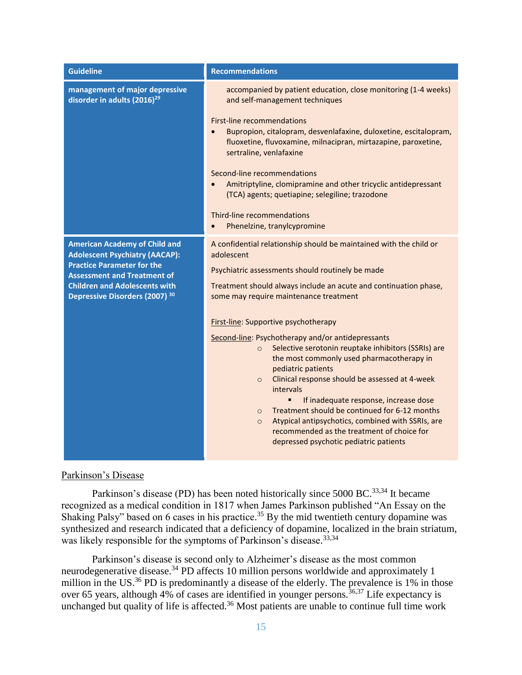| <b>Guideline</b>                                                                                                                                                                                                                   | <b>Recommendations</b>                                                                                                                                                                                                                                                                                                                                                                                                                                                                                                                                                |
|------------------------------------------------------------------------------------------------------------------------------------------------------------------------------------------------------------------------------------|-----------------------------------------------------------------------------------------------------------------------------------------------------------------------------------------------------------------------------------------------------------------------------------------------------------------------------------------------------------------------------------------------------------------------------------------------------------------------------------------------------------------------------------------------------------------------|
| management of major depressive<br>disorder in adults (2016) <sup>29</sup>                                                                                                                                                          | accompanied by patient education, close monitoring (1-4 weeks)<br>and self-management techniques                                                                                                                                                                                                                                                                                                                                                                                                                                                                      |
|                                                                                                                                                                                                                                    | <b>First-line recommendations</b><br>Bupropion, citalopram, desvenlafaxine, duloxetine, escitalopram,<br>fluoxetine, fluvoxamine, milnacipran, mirtazapine, paroxetine,<br>sertraline, venlafaxine<br>Second-line recommendations<br>Amitriptyline, clomipramine and other tricyclic antidepressant<br>(TCA) agents; quetiapine; selegiline; trazodone<br>Third-line recommendations<br>Phenelzine, tranylcypromine                                                                                                                                                   |
| <b>American Academy of Child and</b><br><b>Adolescent Psychiatry (AACAP):</b><br><b>Practice Parameter for the</b><br><b>Assessment and Treatment of</b><br><b>Children and Adolescents with</b><br>Depressive Disorders (2007) 30 | A confidential relationship should be maintained with the child or<br>adolescent<br>Psychiatric assessments should routinely be made<br>Treatment should always include an acute and continuation phase,<br>some may require maintenance treatment                                                                                                                                                                                                                                                                                                                    |
|                                                                                                                                                                                                                                    | First-line: Supportive psychotherapy<br>Second-line: Psychotherapy and/or antidepressants<br>Selective serotonin reuptake inhibitors (SSRIs) are<br>$\circ$<br>the most commonly used pharmacotherapy in<br>pediatric patients<br>Clinical response should be assessed at 4-week<br>$\circ$<br>intervals<br>If inadequate response, increase dose<br>Treatment should be continued for 6-12 months<br>$\circ$<br>Atypical antipsychotics, combined with SSRIs, are<br>$\circ$<br>recommended as the treatment of choice for<br>depressed psychotic pediatric patients |

### Parkinson's Disease

Parkinson's disease (PD) has been noted historically since 5000 BC.<sup>33,34</sup> It became recognized as a medical condition in 1817 when James Parkinson published "An Essay on the Shaking Palsy" based on 6 cases in his practice.<sup>35</sup> By the mid twentieth century dopamine was synthesized and research indicated that a deficiency of dopamine, localized in the brain striatum, was likely responsible for the symptoms of Parkinson's disease.<sup>33,34</sup>

Parkinson's disease is second only to Alzheimer's disease as the most common neurodegenerative disease.<sup>34</sup> PD affects 10 million persons worldwide and approximately 1 million in the US.<sup>36</sup> PD is predominantly a disease of the elderly. The prevalence is 1% in those over 65 years, although 4% of cases are identified in younger persons.<sup>36,37</sup> Life expectancy is unchanged but quality of life is affected.<sup>36</sup> Most patients are unable to continue full time work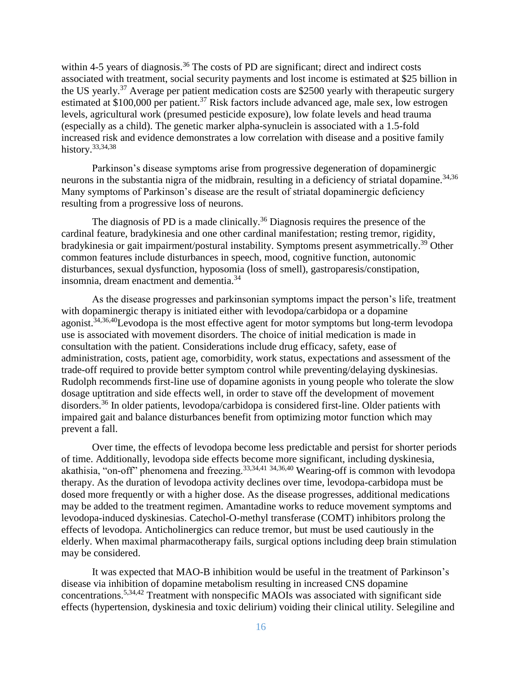within 4-5 years of diagnosis.<sup>36</sup> The costs of PD are significant; direct and indirect costs associated with treatment, social security payments and lost income is estimated at \$25 billion in the US yearly.<sup>37</sup> Average per patient medication costs are \$2500 yearly with therapeutic surgery estimated at  $$100,000$  per patient.<sup>37</sup> Risk factors include advanced age, male sex, low estrogen levels, agricultural work (presumed pesticide exposure), low folate levels and head trauma (especially as a child). The genetic marker alpha-synuclein is associated with a 1.5-fold increased risk and evidence demonstrates a low correlation with disease and a positive family history.<sup>33,34,38</sup>

Parkinson's disease symptoms arise from progressive degeneration of dopaminergic neurons in the substantia nigra of the midbrain, resulting in a deficiency of striatal dopamine.<sup>34,36</sup> Many symptoms of Parkinson's disease are the result of striatal dopaminergic deficiency resulting from a progressive loss of neurons.

The diagnosis of PD is a made clinically.<sup>36</sup> Diagnosis requires the presence of the cardinal feature, bradykinesia and one other cardinal manifestation; resting tremor, rigidity, bradykinesia or gait impairment/postural instability. Symptoms present asymmetrically.<sup>39</sup> Other common features include disturbances in speech, mood, cognitive function, autonomic disturbances, sexual dysfunction, hyposomia (loss of smell), gastroparesis/constipation, insomnia, dream enactment and dementia.<sup>34</sup>

As the disease progresses and parkinsonian symptoms impact the person's life, treatment with dopaminergic therapy is initiated either with levodopa/carbidopa or a dopamine agonist. $34,36,40$ Levodopa is the most effective agent for motor symptoms but long-term levodopa use is associated with movement disorders. The choice of initial medication is made in consultation with the patient. Considerations include drug efficacy, safety, ease of administration, costs, patient age, comorbidity, work status, expectations and assessment of the trade-off required to provide better symptom control while preventing/delaying dyskinesias. Rudolph recommends first-line use of dopamine agonists in young people who tolerate the slow dosage uptitration and side effects well, in order to stave off the development of movement disorders.<sup>36</sup> In older patients, levodopa/carbidopa is considered first-line. Older patients with impaired gait and balance disturbances benefit from optimizing motor function which may prevent a fall.

Over time, the effects of levodopa become less predictable and persist for shorter periods of time. Additionally, levodopa side effects become more significant, including dyskinesia, akathisia, "on-off" phenomena and freezing.33,34,41 34,36,40 Wearing-off is common with levodopa therapy. As the duration of levodopa activity declines over time, levodopa-carbidopa must be dosed more frequently or with a higher dose. As the disease progresses, additional medications may be added to the treatment regimen. Amantadine works to reduce movement symptoms and levodopa-induced dyskinesias. Catechol-O-methyl transferase (COMT) inhibitors prolong the effects of levodopa. Anticholinergics can reduce tremor, but must be used cautiously in the elderly. When maximal pharmacotherapy fails, surgical options including deep brain stimulation may be considered.

It was expected that MAO-B inhibition would be useful in the treatment of Parkinson's disease via inhibition of dopamine metabolism resulting in increased CNS dopamine concentrations.5,34,42 Treatment with nonspecific MAOIs was associated with significant side effects (hypertension, dyskinesia and toxic delirium) voiding their clinical utility. Selegiline and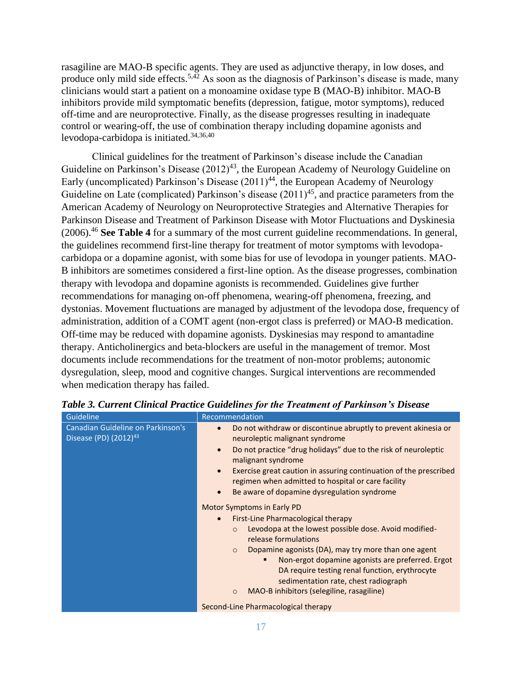rasagiline are MAO-B specific agents. They are used as adjunctive therapy, in low doses, and produce only mild side effects.<sup>5,42</sup> As soon as the diagnosis of Parkinson's disease is made, many clinicians would start a patient on a monoamine oxidase type B (MAO-B) inhibitor. MAO-B inhibitors provide mild symptomatic benefits (depression, fatigue, motor symptoms), reduced off-time and are neuroprotective. Finally, as the disease progresses resulting in inadequate control or wearing-off, the use of combination therapy including dopamine agonists and levodopa-carbidopa is initiated. $34,36,40$ 

Clinical guidelines for the treatment of Parkinson's disease include the Canadian Guideline on Parkinson's Disease  $(2012)^{43}$ , the European Academy of Neurology Guideline on Early (uncomplicated) Parkinson's Disease  $(2011)^{44}$ , the European Academy of Neurology Guideline on Late (complicated) Parkinson's disease  $(2011)^{45}$ , and practice parameters from the American Academy of Neurology on Neuroprotective Strategies and Alternative Therapies for Parkinson Disease and Treatment of Parkinson Disease with Motor Fluctuations and Dyskinesia (2006). <sup>46</sup> **See Table 4** for a summary of the most current guideline recommendations. In general, the guidelines recommend first-line therapy for treatment of motor symptoms with levodopacarbidopa or a dopamine agonist, with some bias for use of levodopa in younger patients. MAO-B inhibitors are sometimes considered a first-line option. As the disease progresses, combination therapy with levodopa and dopamine agonists is recommended. Guidelines give further recommendations for managing on-off phenomena, wearing-off phenomena, freezing, and dystonias. Movement fluctuations are managed by adjustment of the levodopa dose, frequency of administration, addition of a COMT agent (non-ergot class is preferred) or MAO-B medication. Off-time may be reduced with dopamine agonists. Dyskinesias may respond to amantadine therapy. Anticholinergics and beta-blockers are useful in the management of tremor. Most documents include recommendations for the treatment of non-motor problems; autonomic dysregulation, sleep, mood and cognitive changes. Surgical interventions are recommended when medication therapy has failed.

| Guideline                                                              | Recommendation                                                                                                                                                                                                                                                                                                                                                                                                                                                |
|------------------------------------------------------------------------|---------------------------------------------------------------------------------------------------------------------------------------------------------------------------------------------------------------------------------------------------------------------------------------------------------------------------------------------------------------------------------------------------------------------------------------------------------------|
| Canadian Guideline on Parkinson's<br>Disease (PD) (2012) <sup>43</sup> | Do not withdraw or discontinue abruptly to prevent akinesia or<br>$\bullet$<br>neuroleptic malignant syndrome<br>Do not practice "drug holidays" due to the risk of neuroleptic<br>$\bullet$<br>malignant syndrome<br>Exercise great caution in assuring continuation of the prescribed<br>$\bullet$<br>regimen when admitted to hospital or care facility<br>Be aware of dopamine dysregulation syndrome<br>$\bullet$                                        |
|                                                                        | <b>Motor Symptoms in Early PD</b><br>First-Line Pharmacological therapy<br>$\bullet$<br>Levodopa at the lowest possible dose. Avoid modified-<br>$\circ$<br>release formulations<br>Dopamine agonists (DA), may try more than one agent<br>$\circ$<br>Non-ergot dopamine agonists are preferred. Ergot<br>п<br>DA require testing renal function, erythrocyte<br>sedimentation rate, chest radiograph<br>MAO-B inhibitors (selegiline, rasagiline)<br>$\circ$ |
|                                                                        | Second-Line Pharmacological therapy                                                                                                                                                                                                                                                                                                                                                                                                                           |

<span id="page-16-0"></span>*Table 3. Current Clinical Practice Guidelines for the Treatment of Parkinson's Disease*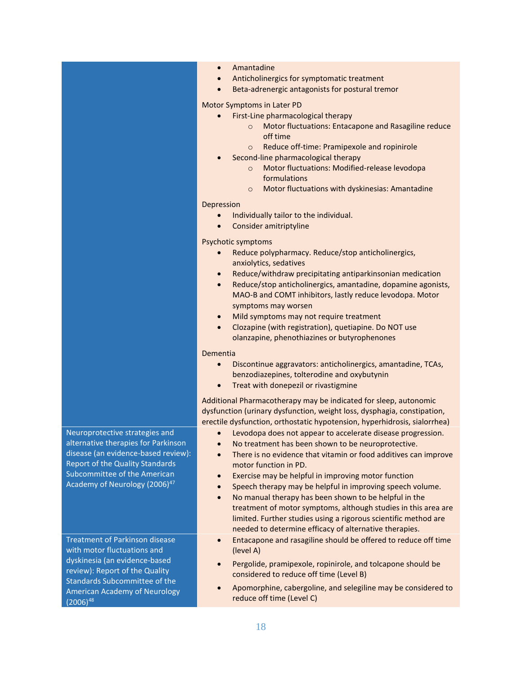|                                                                      | Amantadine<br>$\bullet$                                                                  |
|----------------------------------------------------------------------|------------------------------------------------------------------------------------------|
|                                                                      | Anticholinergics for symptomatic treatment                                               |
|                                                                      | Beta-adrenergic antagonists for postural tremor                                          |
|                                                                      | Motor Symptoms in Later PD                                                               |
|                                                                      | First-Line pharmacological therapy                                                       |
|                                                                      | Motor fluctuations: Entacapone and Rasagiline reduce<br>$\circ$                          |
|                                                                      | off time                                                                                 |
|                                                                      | Reduce off-time: Pramipexole and ropinirole<br>$\circ$                                   |
|                                                                      | Second-line pharmacological therapy                                                      |
|                                                                      | Motor fluctuations: Modified-release levodopa<br>$\circ$                                 |
|                                                                      | formulations                                                                             |
|                                                                      | Motor fluctuations with dyskinesias: Amantadine<br>$\circ$                               |
|                                                                      | Depression                                                                               |
|                                                                      | Individually tailor to the individual.                                                   |
|                                                                      | Consider amitriptyline                                                                   |
|                                                                      | Psychotic symptoms                                                                       |
|                                                                      | Reduce polypharmacy. Reduce/stop anticholinergics,                                       |
|                                                                      | anxiolytics, sedatives                                                                   |
|                                                                      | Reduce/withdraw precipitating antiparkinsonian medication<br>$\bullet$                   |
|                                                                      | Reduce/stop anticholinergics, amantadine, dopamine agonists,<br>$\bullet$                |
|                                                                      | MAO-B and COMT inhibitors, lastly reduce levodopa. Motor                                 |
|                                                                      | symptoms may worsen                                                                      |
|                                                                      | Mild symptoms may not require treatment<br>$\bullet$                                     |
|                                                                      | Clozapine (with registration), quetiapine. Do NOT use<br>$\bullet$                       |
|                                                                      | olanzapine, phenothiazines or butyrophenones                                             |
|                                                                      | Dementia                                                                                 |
|                                                                      | Discontinue aggravators: anticholinergics, amantadine, TCAs,<br>$\bullet$                |
|                                                                      | benzodiazepines, tolterodine and oxybutynin                                              |
|                                                                      | Treat with donepezil or rivastigmine<br>$\bullet$                                        |
|                                                                      | Additional Pharmacotherapy may be indicated for sleep, autonomic                         |
|                                                                      | dysfunction (urinary dysfunction, weight loss, dysphagia, constipation,                  |
|                                                                      | erectile dysfunction, orthostatic hypotension, hyperhidrosis, sialorrhea)                |
| Neuroprotective strategies and                                       | Levodopa does not appear to accelerate disease progression.<br>$\bullet$                 |
| alternative therapies for Parkinson                                  | No treatment has been shown to be neuroprotective.                                       |
| disease (an evidence-based review):                                  | There is no evidence that vitamin or food additives can improve<br>$\bullet$             |
| <b>Report of the Quality Standards</b>                               | motor function in PD.                                                                    |
| <b>Subcommittee of the American</b>                                  | Exercise may be helpful in improving motor function<br>$\bullet$                         |
| Academy of Neurology (2006) <sup>47</sup>                            | Speech therapy may be helpful in improving speech volume.<br>$\bullet$                   |
|                                                                      | No manual therapy has been shown to be helpful in the<br>$\bullet$                       |
|                                                                      | treatment of motor symptoms, although studies in this area are                           |
|                                                                      | limited. Further studies using a rigorous scientific method are                          |
|                                                                      | needed to determine efficacy of alternative therapies.                                   |
| <b>Treatment of Parkinson disease</b><br>with motor fluctuations and | Entacapone and rasagiline should be offered to reduce off time<br>$\bullet$<br>(level A) |
| dyskinesia (an evidence-based                                        |                                                                                          |
| review): Report of the Quality                                       | Pergolide, pramipexole, ropinirole, and tolcapone should be                              |
| Standards Subcommittee of the                                        | considered to reduce off time (Level B)                                                  |
| <b>American Academy of Neurology</b>                                 | Apomorphine, cabergoline, and selegiline may be considered to                            |
| $(2006)^{48}$                                                        | reduce off time (Level C)                                                                |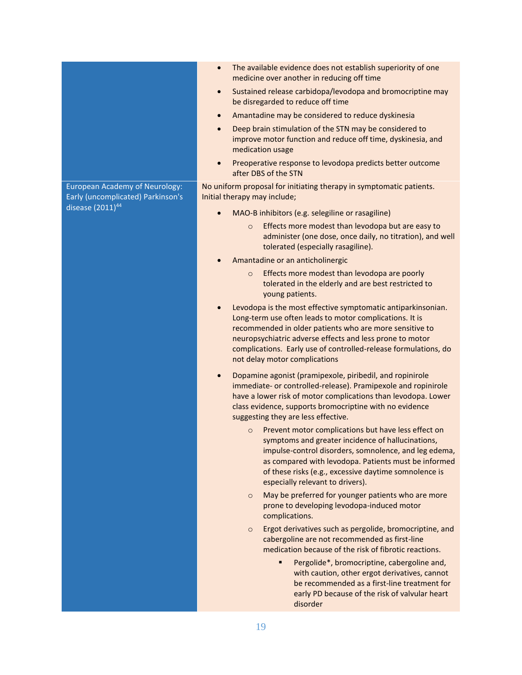|                                                                            | The available evidence does not establish superiority of one<br>$\bullet$<br>medicine over another in reducing off time                                                                                                                                                                                                                                         |
|----------------------------------------------------------------------------|-----------------------------------------------------------------------------------------------------------------------------------------------------------------------------------------------------------------------------------------------------------------------------------------------------------------------------------------------------------------|
|                                                                            | Sustained release carbidopa/levodopa and bromocriptine may<br>$\bullet$<br>be disregarded to reduce off time                                                                                                                                                                                                                                                    |
|                                                                            | Amantadine may be considered to reduce dyskinesia<br>$\bullet$                                                                                                                                                                                                                                                                                                  |
|                                                                            | Deep brain stimulation of the STN may be considered to<br>$\bullet$<br>improve motor function and reduce off time, dyskinesia, and<br>medication usage                                                                                                                                                                                                          |
|                                                                            | Preoperative response to levodopa predicts better outcome<br>$\bullet$<br>after DBS of the STN                                                                                                                                                                                                                                                                  |
| <b>European Academy of Neurology:</b><br>Early (uncomplicated) Parkinson's | No uniform proposal for initiating therapy in symptomatic patients.<br>Initial therapy may include;                                                                                                                                                                                                                                                             |
| disease $(2011)^{44}$                                                      | MAO-B inhibitors (e.g. selegiline or rasagiline)                                                                                                                                                                                                                                                                                                                |
|                                                                            | Effects more modest than levodopa but are easy to<br>$\circ$<br>administer (one dose, once daily, no titration), and well<br>tolerated (especially rasagiline).                                                                                                                                                                                                 |
|                                                                            | Amantadine or an anticholinergic                                                                                                                                                                                                                                                                                                                                |
|                                                                            | Effects more modest than levodopa are poorly<br>$\circ$<br>tolerated in the elderly and are best restricted to<br>young patients.                                                                                                                                                                                                                               |
|                                                                            | Levodopa is the most effective symptomatic antiparkinsonian.<br>$\bullet$<br>Long-term use often leads to motor complications. It is<br>recommended in older patients who are more sensitive to<br>neuropsychiatric adverse effects and less prone to motor<br>complications. Early use of controlled-release formulations, do<br>not delay motor complications |
|                                                                            | Dopamine agonist (pramipexole, piribedil, and ropinirole<br>$\bullet$<br>immediate- or controlled-release). Pramipexole and ropinirole<br>have a lower risk of motor complications than levodopa. Lower<br>class evidence, supports bromocriptine with no evidence<br>suggesting they are less effective.                                                       |
|                                                                            | Prevent motor complications but have less effect on<br>$\circ$<br>symptoms and greater incidence of hallucinations,<br>impulse-control disorders, somnolence, and leg edema,<br>as compared with levodopa. Patients must be informed<br>of these risks (e.g., excessive daytime somnolence is<br>especially relevant to drivers).                               |
|                                                                            | May be preferred for younger patients who are more<br>$\circ$<br>prone to developing levodopa-induced motor<br>complications.                                                                                                                                                                                                                                   |
|                                                                            | Ergot derivatives such as pergolide, bromocriptine, and<br>$\circ$<br>cabergoline are not recommended as first-line<br>medication because of the risk of fibrotic reactions.                                                                                                                                                                                    |
|                                                                            | Pergolide*, bromocriptine, cabergoline and,<br>٠<br>with caution, other ergot derivatives, cannot<br>be recommended as a first-line treatment for<br>early PD because of the risk of valvular heart<br>disorder                                                                                                                                                 |
|                                                                            |                                                                                                                                                                                                                                                                                                                                                                 |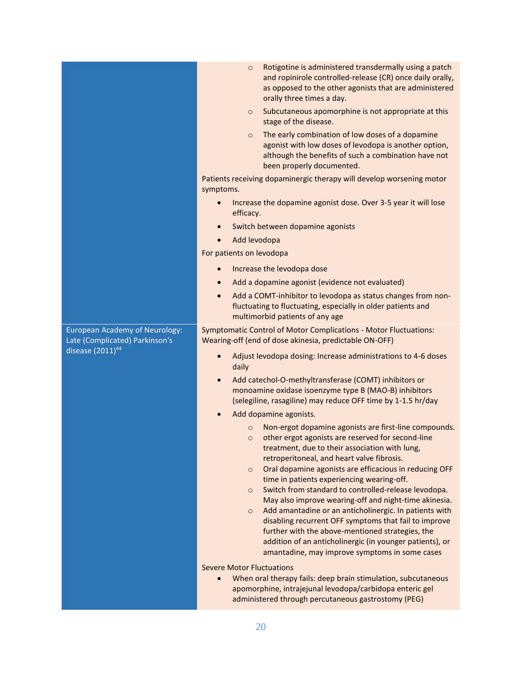|                                                                  | Rotigotine is administered transdermally using a patch<br>$\circ$<br>and ropinirole controlled-release (CR) once daily orally,<br>as opposed to the other agonists that are administered<br>orally three times a day.                                                                                                                                                                                                                                                                                                                                                                                                                                                                                                                                                           |
|------------------------------------------------------------------|---------------------------------------------------------------------------------------------------------------------------------------------------------------------------------------------------------------------------------------------------------------------------------------------------------------------------------------------------------------------------------------------------------------------------------------------------------------------------------------------------------------------------------------------------------------------------------------------------------------------------------------------------------------------------------------------------------------------------------------------------------------------------------|
|                                                                  | Subcutaneous apomorphine is not appropriate at this<br>$\circ$<br>stage of the disease.                                                                                                                                                                                                                                                                                                                                                                                                                                                                                                                                                                                                                                                                                         |
|                                                                  | The early combination of low doses of a dopamine<br>$\circ$<br>agonist with low doses of levodopa is another option,<br>although the benefits of such a combination have not<br>been properly documented.                                                                                                                                                                                                                                                                                                                                                                                                                                                                                                                                                                       |
|                                                                  | Patients receiving dopaminergic therapy will develop worsening motor<br>symptoms.                                                                                                                                                                                                                                                                                                                                                                                                                                                                                                                                                                                                                                                                                               |
|                                                                  | Increase the dopamine agonist dose. Over 3-5 year it will lose<br>$\bullet$<br>efficacy.                                                                                                                                                                                                                                                                                                                                                                                                                                                                                                                                                                                                                                                                                        |
|                                                                  | Switch between dopamine agonists<br>$\bullet$                                                                                                                                                                                                                                                                                                                                                                                                                                                                                                                                                                                                                                                                                                                                   |
|                                                                  | Add levodopa<br>For patients on levodopa                                                                                                                                                                                                                                                                                                                                                                                                                                                                                                                                                                                                                                                                                                                                        |
|                                                                  |                                                                                                                                                                                                                                                                                                                                                                                                                                                                                                                                                                                                                                                                                                                                                                                 |
|                                                                  | Increase the levodopa dose<br>$\bullet$<br>Add a dopamine agonist (evidence not evaluated)<br>$\bullet$                                                                                                                                                                                                                                                                                                                                                                                                                                                                                                                                                                                                                                                                         |
|                                                                  | Add a COMT-inhibitor to levodopa as status changes from non-<br>$\bullet$                                                                                                                                                                                                                                                                                                                                                                                                                                                                                                                                                                                                                                                                                                       |
|                                                                  | fluctuating to fluctuating, especially in older patients and<br>multimorbid patients of any age                                                                                                                                                                                                                                                                                                                                                                                                                                                                                                                                                                                                                                                                                 |
| European Academy of Neurology:<br>Late (Complicated) Parkinson's | <b>Symptomatic Control of Motor Complications - Motor Fluctuations:</b><br>Wearing-off (end of dose akinesia, predictable ON-OFF)                                                                                                                                                                                                                                                                                                                                                                                                                                                                                                                                                                                                                                               |
| disease $(2011)^{44}$                                            | Adjust levodopa dosing: Increase administrations to 4-6 doses<br>daily                                                                                                                                                                                                                                                                                                                                                                                                                                                                                                                                                                                                                                                                                                          |
|                                                                  | Add catechol-O-methyltransferase (COMT) inhibitors or<br>$\bullet$<br>monoamine oxidase isoenzyme type B (MAO-B) inhibitors<br>(selegiline, rasagiline) may reduce OFF time by 1-1.5 hr/day                                                                                                                                                                                                                                                                                                                                                                                                                                                                                                                                                                                     |
|                                                                  | Add dopamine agonists.                                                                                                                                                                                                                                                                                                                                                                                                                                                                                                                                                                                                                                                                                                                                                          |
|                                                                  | Non-ergot dopamine agonists are first-line compounds.<br>$\circ$<br>other ergot agonists are reserved for second-line<br>$\circ$<br>treatment, due to their association with lung,<br>retroperitoneal, and heart valve fibrosis.<br>Oral dopamine agonists are efficacious in reducing OFF<br>$\circ$<br>time in patients experiencing wearing-off.<br>Switch from standard to controlled-release levodopa.<br>$\circ$<br>May also improve wearing-off and night-time akinesia.<br>Add amantadine or an anticholinergic. In patients with<br>$\circ$<br>disabling recurrent OFF symptoms that fail to improve<br>further with the above-mentioned strategies, the<br>addition of an anticholinergic (in younger patients), or<br>amantadine, may improve symptoms in some cases |
|                                                                  | <b>Severe Motor Fluctuations</b><br>When oral therapy fails: deep brain stimulation, subcutaneous<br>$\bullet$                                                                                                                                                                                                                                                                                                                                                                                                                                                                                                                                                                                                                                                                  |
|                                                                  | apomorphine, intrajejunal levodopa/carbidopa enteric gel<br>administered through percutaneous gastrostomy (PEG)                                                                                                                                                                                                                                                                                                                                                                                                                                                                                                                                                                                                                                                                 |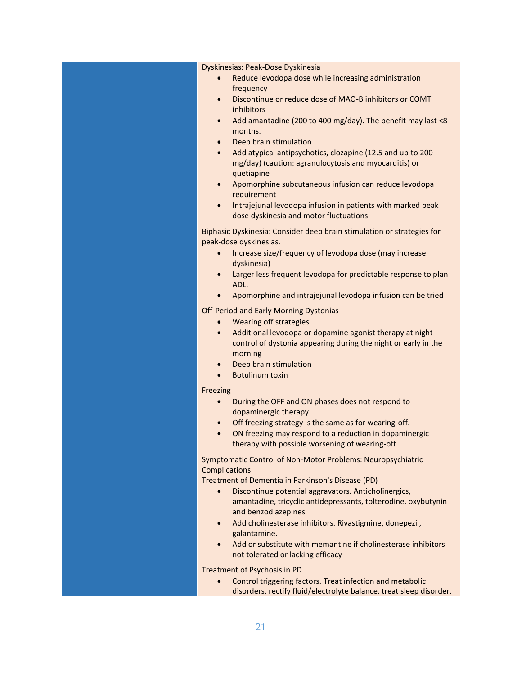| Dyskinesias: Peak-Dose Dyskinesia<br>Reduce levodopa dose while increasing administration                                                          |
|----------------------------------------------------------------------------------------------------------------------------------------------------|
| frequency                                                                                                                                          |
| Discontinue or reduce dose of MAO-B inhibitors or COMT<br>$\bullet$<br>inhibitors                                                                  |
| Add amantadine (200 to 400 mg/day). The benefit may last <8<br>months.                                                                             |
| Deep brain stimulation<br>$\bullet$                                                                                                                |
| Add atypical antipsychotics, clozapine (12.5 and up to 200<br>$\bullet$<br>mg/day) (caution: agranulocytosis and myocarditis) or<br>quetiapine     |
| Apomorphine subcutaneous infusion can reduce levodopa<br>requirement                                                                               |
| Intrajejunal levodopa infusion in patients with marked peak<br>dose dyskinesia and motor fluctuations                                              |
| Biphasic Dyskinesia: Consider deep brain stimulation or strategies for<br>peak-dose dyskinesias.                                                   |
| Increase size/frequency of levodopa dose (may increase<br>dyskinesia)                                                                              |
| Larger less frequent levodopa for predictable response to plan<br>ADL.                                                                             |
| Apomorphine and intrajejunal levodopa infusion can be tried                                                                                        |
| <b>Off-Period and Early Morning Dystonias</b>                                                                                                      |
| <b>Wearing off strategies</b><br>$\bullet$                                                                                                         |
| Additional levodopa or dopamine agonist therapy at night<br>$\bullet$<br>control of dystonia appearing during the night or early in the<br>morning |
| Deep brain stimulation                                                                                                                             |
| <b>Botulinum toxin</b>                                                                                                                             |
| Freezing                                                                                                                                           |
| During the OFF and ON phases does not respond to<br>$\bullet$<br>dopaminergic therapy                                                              |
| Off freezing strategy is the same as for wearing-off.                                                                                              |
| ON freezing may respond to a reduction in dopaminergic<br>$\bullet$<br>therapy with possible worsening of wearing-off.                             |
| Symptomatic Control of Non-Motor Problems: Neuropsychiatric<br>Complications                                                                       |
| Treatment of Dementia in Parkinson's Disease (PD)                                                                                                  |
| Discontinue potential aggravators. Anticholinergics,<br>amantadine, tricyclic antidepressants, tolterodine, oxybutynin<br>and benzodiazepines      |
| Add cholinesterase inhibitors. Rivastigmine, donepezil,<br>galantamine.                                                                            |
| Add or substitute with memantine if cholinesterase inhibitors<br>not tolerated or lacking efficacy                                                 |
| Treatment of Psychosis in PD                                                                                                                       |
| Control triggering factors. Treat infection and metabolic                                                                                          |
| disorders, rectify fluid/electrolyte balance, treat sleep disorder.                                                                                |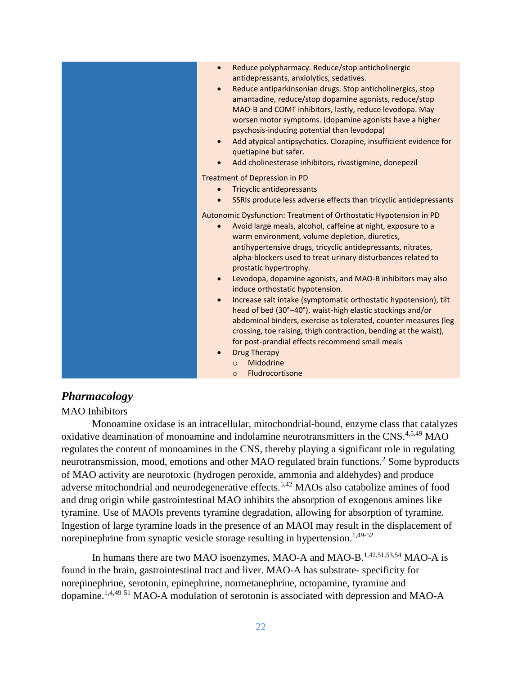| Reduce polypharmacy. Reduce/stop anticholinergic<br>$\bullet$<br>antidepressants, anxiolytics, sedatives.<br>Reduce antiparkinsonian drugs. Stop anticholinergics, stop<br>$\bullet$<br>amantadine, reduce/stop dopamine agonists, reduce/stop<br>MAO-B and COMT inhibitors, lastly, reduce levodopa. May<br>worsen motor symptoms. (dopamine agonists have a higher<br>psychosis-inducing potential than levodopa)<br>Add atypical antipsychotics. Clozapine, insufficient evidence for<br>$\bullet$<br>quetiapine but safer.<br>Add cholinesterase inhibitors, rivastigmine, donepezil<br>$\bullet$ |
|-------------------------------------------------------------------------------------------------------------------------------------------------------------------------------------------------------------------------------------------------------------------------------------------------------------------------------------------------------------------------------------------------------------------------------------------------------------------------------------------------------------------------------------------------------------------------------------------------------|
| Treatment of Depression in PD<br><b>Tricyclic antidepressants</b><br>SSRIs produce less adverse effects than tricyclic antidepressants<br>$\bullet$                                                                                                                                                                                                                                                                                                                                                                                                                                                   |
| Autonomic Dysfunction: Treatment of Orthostatic Hypotension in PD<br>Avoid large meals, alcohol, caffeine at night, exposure to a<br>warm environment, volume depletion, diuretics,<br>antihypertensive drugs, tricyclic antidepressants, nitrates,<br>alpha-blockers used to treat urinary disturbances related to<br>prostatic hypertrophy.<br>Levodopa, dopamine agonists, and MAO-B inhibitors may also<br>$\bullet$<br>induce orthostatic hypotension.<br>Increase salt intake (symptomatic orthostatic hypotension), tilt<br>$\bullet$                                                          |
| head of bed (30°-40°), waist-high elastic stockings and/or<br>abdominal binders, exercise as tolerated, counter measures (leg<br>crossing, toe raising, thigh contraction, bending at the waist),<br>for post-prandial effects recommend small meals<br><b>Drug Therapy</b><br>$\bullet$<br>Midodrine<br>$\Omega$<br>$\circ$ Fludrocortisone                                                                                                                                                                                                                                                          |

### <span id="page-21-0"></span>*Pharmacology*

### MAO Inhibitors

Monoamine oxidase is an intracellular, mitochondrial-bound, enzyme class that catalyzes oxidative deamination of monoamine and indolamine neurotransmitters in the CNS.4,5,49 MAO regulates the content of monoamines in the CNS, thereby playing a significant role in regulating neurotransmission, mood, emotions and other MAO regulated brain functions.<sup>2</sup> Some byproducts of MAO activity are neurotoxic (hydrogen peroxide, ammonia and aldehydes) and produce adverse mitochondrial and neurodegenerative effects.5,42 MAOs also catabolize amines of food and drug origin while gastrointestinal MAO inhibits the absorption of exogenous amines like tyramine. Use of MAOIs prevents tyramine degradation, allowing for absorption of tyramine. Ingestion of large tyramine loads in the presence of an MAOI may result in the displacement of norepinephrine from synaptic vesicle storage resulting in hypertension.<sup>1,49-52</sup>

In humans there are two MAO isoenzymes, MAO-A and MAO-B.<sup>1,42,51,53,54</sup> MAO-A is found in the brain, gastrointestinal tract and liver. MAO-A has substrate- specificity for norepinephrine, serotonin, epinephrine, normetanephrine, octopamine, tyramine and dopamine.<sup>1,4,49</sup><sup>51</sup> MAO-A modulation of serotonin is associated with depression and MAO-A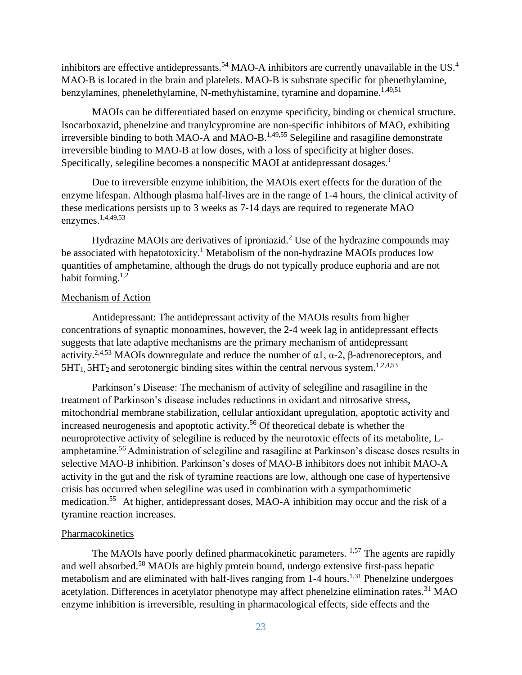inhibitors are effective antidepressants.<sup>54</sup> MAO-A inhibitors are currently unavailable in the US.<sup>4</sup> MAO-B is located in the brain and platelets. MAO-B is substrate specific for phenethylamine, benzylamines, phenelethylamine, N-methyhistamine, tyramine and dopamine.<sup>1,49,51</sup>

MAOIs can be differentiated based on enzyme specificity, binding or chemical structure. Isocarboxazid, phenelzine and tranylcypromine are non-specific inhibitors of MAO, exhibiting irreversible binding to both MAO-A and MAO-B.<sup>1,49,55</sup> Selegiline and rasagiline demonstrate irreversible binding to MAO-B at low doses, with a loss of specificity at higher doses. Specifically, selegiline becomes a nonspecific MAOI at antidepressant dosages.<sup>1</sup>

Due to irreversible enzyme inhibition, the MAOIs exert effects for the duration of the enzyme lifespan. Although plasma half-lives are in the range of 1-4 hours, the clinical activity of these medications persists up to 3 weeks as 7-14 days are required to regenerate MAO enzymes.<sup>1,4,49,53</sup>

Hydrazine MAOIs are derivatives of iproniazid.<sup>2</sup> Use of the hydrazine compounds may be associated with hepatotoxicity.<sup>1</sup> Metabolism of the non-hydrazine MAOIs produces low quantities of amphetamine, although the drugs do not typically produce euphoria and are not habit forming. $1,2$ 

#### Mechanism of Action

Antidepressant: The antidepressant activity of the MAOIs results from higher concentrations of synaptic monoamines, however, the 2-4 week lag in antidepressant effects suggests that late adaptive mechanisms are the primary mechanism of antidepressant activity.<sup>2,4,53</sup> MAOIs downregulate and reduce the number of α1, α-2, β-adrenoreceptors, and  $5HT_1$ ,  $5HT_2$  and serotonergic binding sites within the central nervous system.<sup>1,2,4,53</sup>

Parkinson's Disease: The mechanism of activity of selegiline and rasagiline in the treatment of Parkinson's disease includes reductions in oxidant and nitrosative stress, mitochondrial membrane stabilization, cellular antioxidant upregulation, apoptotic activity and increased neurogenesis and apoptotic activity. <sup>56</sup> Of theoretical debate is whether the neuroprotective activity of selegiline is reduced by the neurotoxic effects of its metabolite, Lamphetamine.<sup>56</sup> Administration of selegiline and rasagiline at Parkinson's disease doses results in selective MAO-B inhibition. Parkinson's doses of MAO-B inhibitors does not inhibit MAO-A activity in the gut and the risk of tyramine reactions are low, although one case of hypertensive crisis has occurred when selegiline was used in combination with a sympathomimetic medication.<sup>55</sup> At higher, antidepressant doses, MAO-A inhibition may occur and the risk of a tyramine reaction increases.

#### Pharmacokinetics

The MAOIs have poorly defined pharmacokinetic parameters. <sup>1,57</sup> The agents are rapidly and well absorbed. <sup>58</sup> MAOIs are highly protein bound, undergo extensive first-pass hepatic metabolism and are eliminated with half-lives ranging from 1-4 hours.<sup>1,31</sup> Phenelzine undergoes acetylation. Differences in acetylator phenotype may affect phenelzine elimination rates.<sup>31</sup> MAO enzyme inhibition is irreversible, resulting in pharmacological effects, side effects and the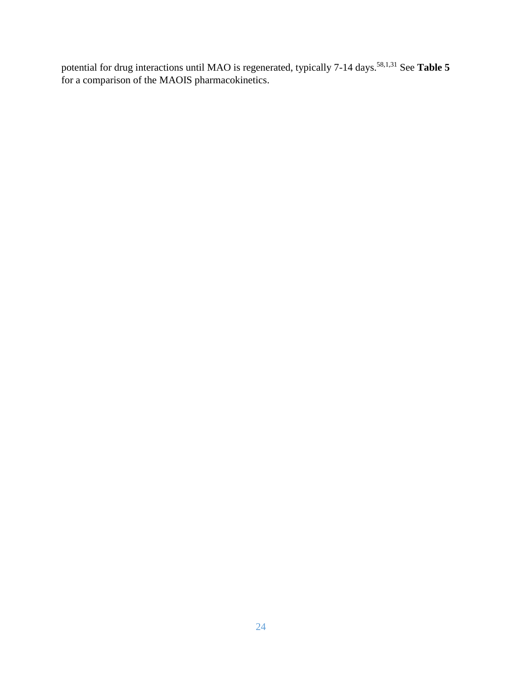potential for drug interactions until MAO is regenerated, typically 7-14 days.<sup>58,1,31</sup> See Table 5 for a comparison of the MAOIS pharmacokinetics.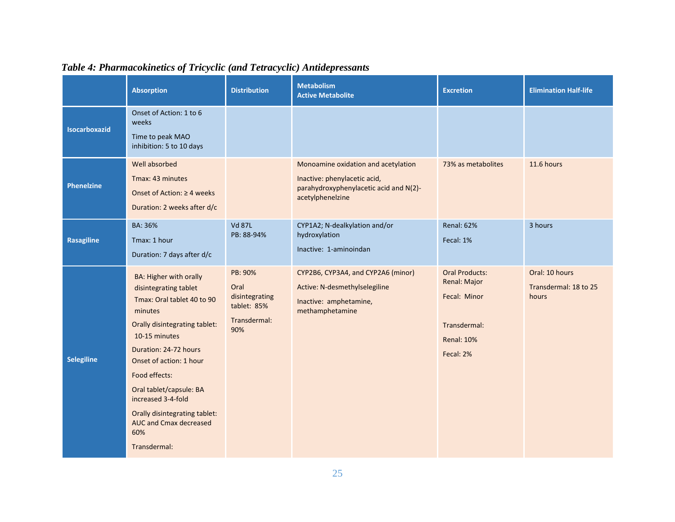<span id="page-24-0"></span>

|                      | <b>Absorption</b>                                                                                                                                                                                                                                                                                                                                         | <b>Distribution</b>                                                     | <b>Metabolism</b><br><b>Active Metabolite</b>                                                                                     | <b>Excretion</b>                                                                                        | <b>Elimination Half-life</b>                     |
|----------------------|-----------------------------------------------------------------------------------------------------------------------------------------------------------------------------------------------------------------------------------------------------------------------------------------------------------------------------------------------------------|-------------------------------------------------------------------------|-----------------------------------------------------------------------------------------------------------------------------------|---------------------------------------------------------------------------------------------------------|--------------------------------------------------|
| <b>Isocarboxazid</b> | Onset of Action: 1 to 6<br>weeks<br>Time to peak MAO<br>inhibition: 5 to 10 days                                                                                                                                                                                                                                                                          |                                                                         |                                                                                                                                   |                                                                                                         |                                                  |
| <b>Phenelzine</b>    | Well absorbed<br>Tmax: 43 minutes<br>Onset of Action: ≥ 4 weeks<br>Duration: 2 weeks after d/c                                                                                                                                                                                                                                                            |                                                                         | Monoamine oxidation and acetylation<br>Inactive: phenylacetic acid,<br>parahydroxyphenylacetic acid and N(2)-<br>acetylphenelzine | 73% as metabolites                                                                                      | 11.6 hours                                       |
| <b>Rasagiline</b>    | BA: 36%<br>Tmax: 1 hour<br>Duration: 7 days after d/c                                                                                                                                                                                                                                                                                                     | <b>Vd 87L</b><br>PB: 88-94%                                             | CYP1A2; N-dealkylation and/or<br>hydroxylation<br>Inactive: 1-aminoindan                                                          | <b>Renal: 62%</b><br>Fecal: 1%                                                                          | 3 hours                                          |
| <b>Selegiline</b>    | <b>BA: Higher with orally</b><br>disintegrating tablet<br>Tmax: Oral tablet 40 to 90<br>minutes<br>Orally disintegrating tablet:<br>10-15 minutes<br>Duration: 24-72 hours<br>Onset of action: 1 hour<br>Food effects:<br>Oral tablet/capsule: BA<br>increased 3-4-fold<br>Orally disintegrating tablet:<br>AUC and Cmax decreased<br>60%<br>Transdermal: | PB: 90%<br>Oral<br>disintegrating<br>tablet: 85%<br>Transdermal:<br>90% | CYP2B6, CYP3A4, and CYP2A6 (minor)<br>Active: N-desmethylselegiline<br>Inactive: amphetamine,<br>methamphetamine                  | <b>Oral Products:</b><br>Renal: Major<br>Fecal: Minor<br>Transdermal:<br><b>Renal: 10%</b><br>Fecal: 2% | Oral: 10 hours<br>Transdermal: 18 to 25<br>hours |

# *Table 4: Pharmacokinetics of Tricyclic (and Tetracyclic) Antidepressants*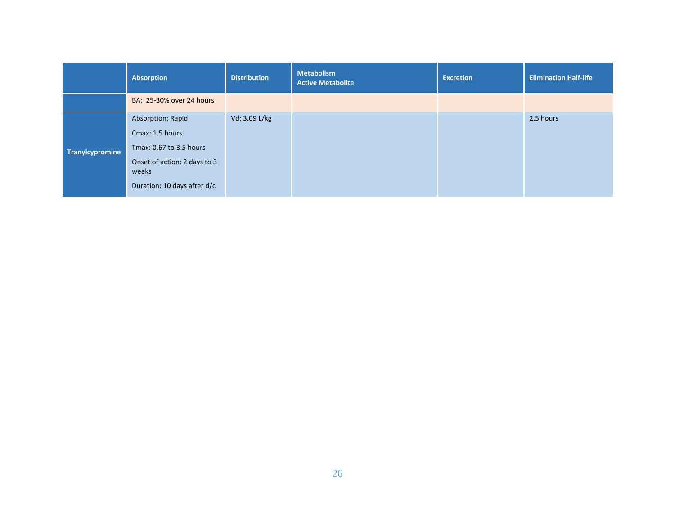|                 | Absorption                                                                                                                              | <b>Distribution</b> | <b>Metabolism</b><br><b>Active Metabolite</b> | <b>Excretion</b> | <b>Elimination Half-life</b> |
|-----------------|-----------------------------------------------------------------------------------------------------------------------------------------|---------------------|-----------------------------------------------|------------------|------------------------------|
|                 | BA: 25-30% over 24 hours                                                                                                                |                     |                                               |                  |                              |
| Tranylcypromine | Absorption: Rapid<br>Cmax: 1.5 hours<br>Tmax: 0.67 to 3.5 hours<br>Onset of action: 2 days to 3<br>weeks<br>Duration: 10 days after d/c | Vd: 3.09 L/kg       |                                               |                  | 2.5 hours                    |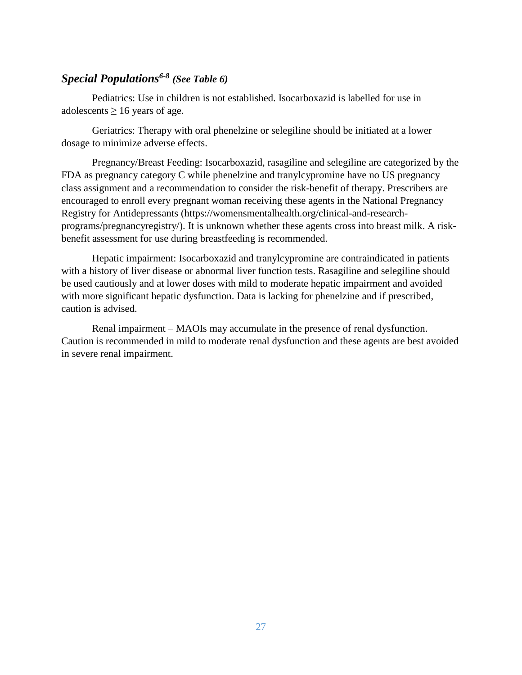# <span id="page-26-0"></span>*Special Populations6-8 (See Table 6)*

Pediatrics: Use in children is not established. Isocarboxazid is labelled for use in adolescents  $\geq 16$  years of age.

Geriatrics: Therapy with oral phenelzine or selegiline should be initiated at a lower dosage to minimize adverse effects.

Pregnancy/Breast Feeding: Isocarboxazid, rasagiline and selegiline are categorized by the FDA as pregnancy category C while phenelzine and tranylcypromine have no US pregnancy class assignment and a recommendation to consider the risk-benefit of therapy. Prescribers are encouraged to enroll every pregnant woman receiving these agents in the National Pregnancy Registry for Antidepressants (https://womensmentalhealth.org/clinical-and-researchprograms/pregnancyregistry/). It is unknown whether these agents cross into breast milk. A riskbenefit assessment for use during breastfeeding is recommended.

Hepatic impairment: Isocarboxazid and tranylcypromine are contraindicated in patients with a history of liver disease or abnormal liver function tests. Rasagiline and selegiline should be used cautiously and at lower doses with mild to moderate hepatic impairment and avoided with more significant hepatic dysfunction. Data is lacking for phenelzine and if prescribed, caution is advised.

Renal impairment – MAOIs may accumulate in the presence of renal dysfunction. Caution is recommended in mild to moderate renal dysfunction and these agents are best avoided in severe renal impairment.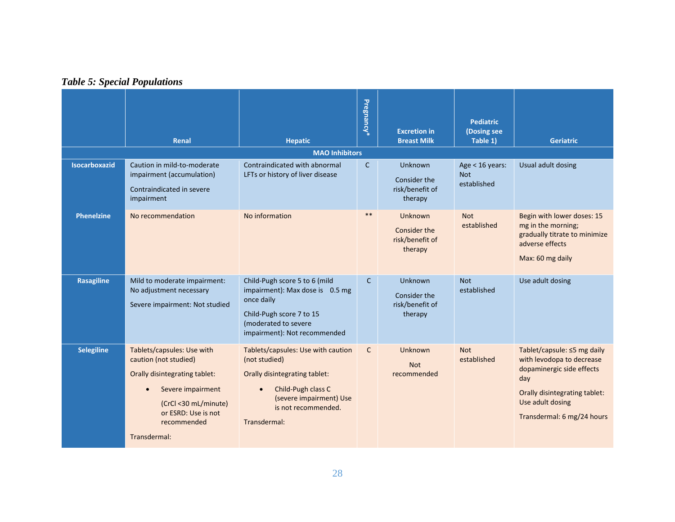# *Table 5: Special Populations*

<span id="page-27-0"></span>

|                      | Renal                                                                                                                                                                                                | <b>Hepatic</b>                                                                                                                                                               | Pregnancy <sup>3</sup> | <b>Excretion in</b><br><b>Breast Milk</b>                    | <b>Pediatric</b><br>(Dosing see<br>Table 1)  | <b>Geriatric</b>                                                                                                                                                                |
|----------------------|------------------------------------------------------------------------------------------------------------------------------------------------------------------------------------------------------|------------------------------------------------------------------------------------------------------------------------------------------------------------------------------|------------------------|--------------------------------------------------------------|----------------------------------------------|---------------------------------------------------------------------------------------------------------------------------------------------------------------------------------|
|                      |                                                                                                                                                                                                      | <b>MAO Inhibitors</b>                                                                                                                                                        |                        |                                                              |                                              |                                                                                                                                                                                 |
| <b>Isocarboxazid</b> | Caution in mild-to-moderate<br>impairment (accumulation)<br>Contraindicated in severe<br>impairment                                                                                                  | Contraindicated with abnormal<br>LFTs or history of liver disease                                                                                                            | $\mathsf{C}$           | Unknown<br>Consider the<br>risk/benefit of<br>therapy        | Age < 16 years:<br><b>Not</b><br>established | Usual adult dosing                                                                                                                                                              |
| <b>Phenelzine</b>    | No recommendation                                                                                                                                                                                    | No information                                                                                                                                                               | $***$                  | Unknown<br><b>Consider the</b><br>risk/benefit of<br>therapy | <b>Not</b><br>established                    | Begin with lower doses: 15<br>mg in the morning;<br>gradually titrate to minimize<br>adverse effects<br>Max: 60 mg daily                                                        |
| Rasagiline           | Mild to moderate impairment:<br>No adjustment necessary<br>Severe impairment: Not studied                                                                                                            | Child-Pugh score 5 to 6 (mild<br>impairment): Max dose is 0.5 mg<br>once daily<br>Child-Pugh score 7 to 15<br>(moderated to severe<br>impairment): Not recommended           | $\mathsf{C}$           | Unknown<br>Consider the<br>risk/benefit of<br>therapy        | <b>Not</b><br>established                    | Use adult dosing                                                                                                                                                                |
| <b>Selegiline</b>    | Tablets/capsules: Use with<br>caution (not studied)<br>Orally disintegrating tablet:<br>Severe impairment<br>$\bullet$<br>(CrCl <30 mL/minute)<br>or ESRD: Use is not<br>recommended<br>Transdermal: | Tablets/capsules: Use with caution<br>(not studied)<br>Orally disintegrating tablet:<br>Child-Pugh class C<br>(severe impairment) Use<br>is not recommended.<br>Transdermal: | $\mathsf{C}$           | Unknown<br><b>Not</b><br>recommended                         | <b>Not</b><br>established                    | Tablet/capsule: ≤5 mg daily<br>with levodopa to decrease<br>dopaminergic side effects<br>day<br>Orally disintegrating tablet:<br>Use adult dosing<br>Transdermal: 6 mg/24 hours |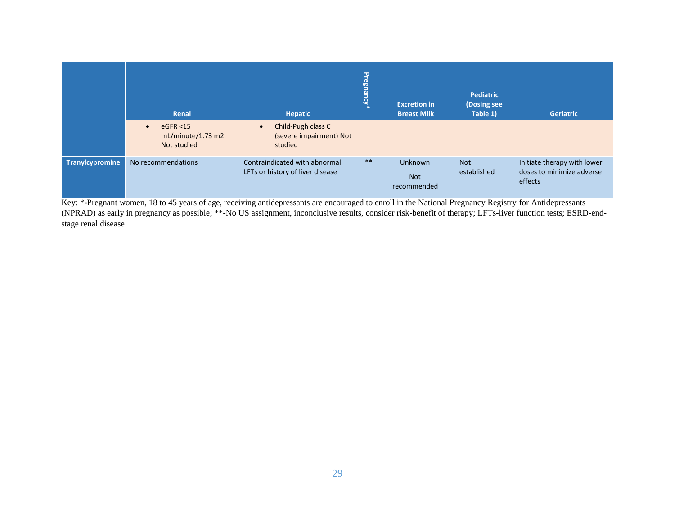|                 | Renal                                                          | <b>Hepatic</b>                                                        |       | <b>Excretion in</b><br><b>Breast Milk</b> | <b>Pediatric</b><br>(Dosing see<br>Table 1) | <b>Geriatric</b>                                                    |
|-----------------|----------------------------------------------------------------|-----------------------------------------------------------------------|-------|-------------------------------------------|---------------------------------------------|---------------------------------------------------------------------|
|                 | eGFR < 15<br>$\bullet$<br>$mL/minute/1.73 m2$ :<br>Not studied | Child-Pugh class C<br>$\bullet$<br>(severe impairment) Not<br>studied |       |                                           |                                             |                                                                     |
| Tranylcypromine | No recommendations                                             | Contraindicated with abnormal<br>LFTs or history of liver disease     | $***$ | Unknown<br><b>Not</b><br>recommended      | <b>Not</b><br>established                   | Initiate therapy with lower<br>doses to minimize adverse<br>effects |

Key: \*-Pregnant women, 18 to 45 years of age, receiving antidepressants are encouraged to enroll in the National Pregnancy Registry for Antidepressants (NPRAD) as early in pregnancy as possible; \*\*-No US assignment, inconclusive results, consider risk-benefit of therapy; LFTs-liver function tests; ESRD-endstage renal disease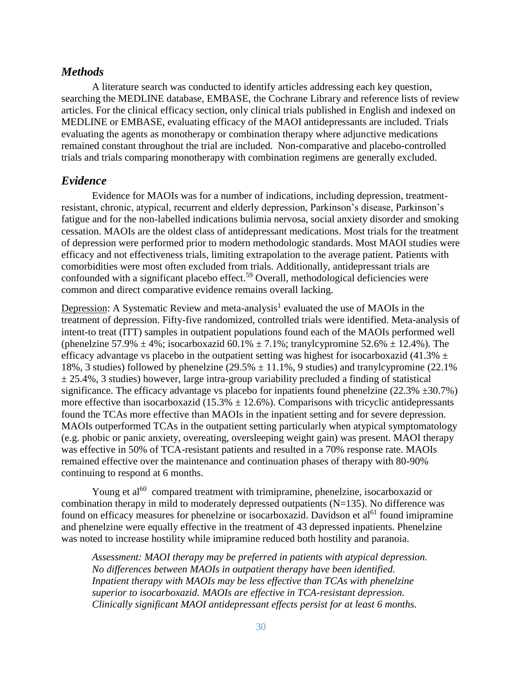### <span id="page-29-0"></span>*Methods*

A literature search was conducted to identify articles addressing each key question, searching the MEDLINE database, EMBASE, the Cochrane Library and reference lists of review articles. For the clinical efficacy section, only clinical trials published in English and indexed on MEDLINE or EMBASE, evaluating efficacy of the MAOI antidepressants are included. Trials evaluating the agents as monotherapy or combination therapy where adjunctive medications remained constant throughout the trial are included. Non-comparative and placebo-controlled trials and trials comparing monotherapy with combination regimens are generally excluded.

### <span id="page-29-1"></span>*Evidence*

Evidence for MAOIs was for a number of indications, including depression, treatmentresistant, chronic, atypical, recurrent and elderly depression, Parkinson's disease, Parkinson's fatigue and for the non-labelled indications bulimia nervosa, social anxiety disorder and smoking cessation. MAOIs are the oldest class of antidepressant medications. Most trials for the treatment of depression were performed prior to modern methodologic standards. Most MAOI studies were efficacy and not effectiveness trials, limiting extrapolation to the average patient. Patients with comorbidities were most often excluded from trials. Additionally, antidepressant trials are confounded with a significant placebo effect.<sup>59</sup> Overall, methodological deficiencies were common and direct comparative evidence remains overall lacking.

Depression: A Systematic Review and meta-analysis<sup>1</sup> evaluated the use of MAOIs in the treatment of depression. Fifty-five randomized, controlled trials were identified. Meta-analysis of intent-to treat (ITT) samples in outpatient populations found each of the MAOIs performed well (phenelzine 57.9%  $\pm$  4%; isocarboxazid 60.1%  $\pm$  7.1%; tranylcypromine 52.6%  $\pm$  12.4%). The efficacy advantage vs placebo in the outpatient setting was highest for isocarboxazid (41.3%  $\pm$ 18%, 3 studies) followed by phenelzine (29.5%  $\pm$  11.1%, 9 studies) and tranylcypromine (22.1%)  $\pm$  25.4%, 3 studies) however, large intra-group variability precluded a finding of statistical significance. The efficacy advantage vs placebo for inpatients found phenelzine  $(22.3\% \pm 30.7\%)$ more effective than isocarboxazid (15.3%  $\pm$  12.6%). Comparisons with tricyclic antidepressants found the TCAs more effective than MAOIs in the inpatient setting and for severe depression. MAOIs outperformed TCAs in the outpatient setting particularly when atypical symptomatology (e.g. phobic or panic anxiety, overeating, oversleeping weight gain) was present. MAOI therapy was effective in 50% of TCA-resistant patients and resulted in a 70% response rate. MAOIs remained effective over the maintenance and continuation phases of therapy with 80-90% continuing to respond at 6 months.

Young et al<sup>60</sup> compared treatment with trimipramine, phenelzine, isocarboxazid or combination therapy in mild to moderately depressed outpatients  $(N=135)$ . No difference was found on efficacy measures for phenelzine or isocarboxazid. Davidson et  $al<sup>61</sup>$  found imipramine and phenelzine were equally effective in the treatment of 43 depressed inpatients. Phenelzine was noted to increase hostility while imipramine reduced both hostility and paranoia.

*Assessment: MAOI therapy may be preferred in patients with atypical depression. No differences between MAOIs in outpatient therapy have been identified. Inpatient therapy with MAOIs may be less effective than TCAs with phenelzine superior to isocarboxazid. MAOIs are effective in TCA-resistant depression. Clinically significant MAOI antidepressant effects persist for at least 6 months.*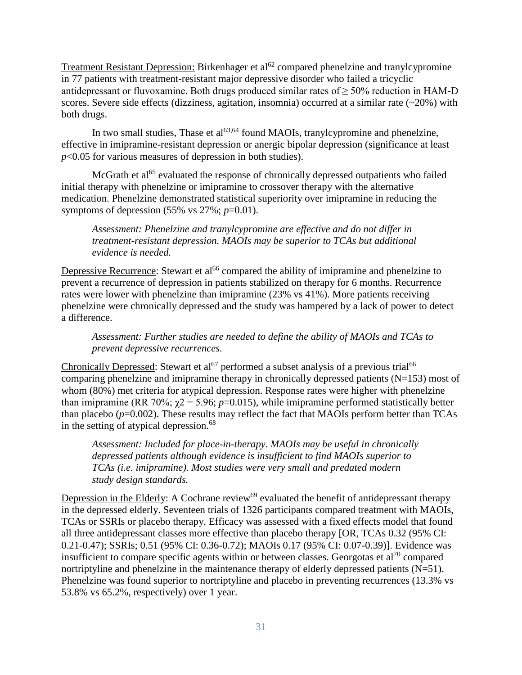Treatment Resistant Depression: Birkenhager et al<sup>62</sup> compared phenelzine and tranylcypromine in 77 patients with treatment-resistant major depressive disorder who failed a tricyclic antidepressant or fluvoxamine. Both drugs produced similar rates of  $\geq$  50% reduction in HAM-D scores. Severe side effects (dizziness, agitation, insomnia) occurred at a similar rate  $(-20\%)$  with both drugs.

In two small studies, Thase et  $al^{63,64}$  found MAOIs, tranylcypromine and phenelzine, effective in imipramine-resistant depression or anergic bipolar depression (significance at least *p*<0.05 for various measures of depression in both studies).

McGrath et al<sup>65</sup> evaluated the response of chronically depressed outpatients who failed initial therapy with phenelzine or imipramine to crossover therapy with the alternative medication. Phenelzine demonstrated statistical superiority over imipramine in reducing the symptoms of depression (55% vs 27%; *p*=0.01).

*Assessment: Phenelzine and tranylcypromine are effective and do not differ in treatment-resistant depression. MAOIs may be superior to TCAs but additional evidence is needed.*

Depressive Recurrence: Stewart et al<sup>66</sup> compared the ability of imipramine and phenelzine to prevent a recurrence of depression in patients stabilized on therapy for 6 months. Recurrence rates were lower with phenelzine than imipramine (23% vs 41%). More patients receiving phenelzine were chronically depressed and the study was hampered by a lack of power to detect a difference.

*Assessment: Further studies are needed to define the ability of MAOIs and TCAs to prevent depressive recurrences.*

Chronically Depressed: Stewart et al<sup>67</sup> performed a subset analysis of a previous trial<sup>66</sup> comparing phenelzine and imipramine therapy in chronically depressed patients (N=153) most of whom (80%) met criteria for atypical depression. Response rates were higher with phenelzine than imipramine (RR 70%;  $\gamma$ 2 = 5.96; *p*=0.015), while imipramine performed statistically better than placebo (*p*=0.002). These results may reflect the fact that MAOIs perform better than TCAs in the setting of atypical depression. $68$ 

*Assessment: Included for place-in-therapy. MAOIs may be useful in chronically depressed patients although evidence is insufficient to find MAOIs superior to TCAs (i.e. imipramine). Most studies were very small and predated modern study design standards.* 

Depression in the Elderly: A Cochrane review<sup>69</sup> evaluated the benefit of antidepressant therapy in the depressed elderly. Seventeen trials of 1326 participants compared treatment with MAOIs, TCAs or SSRIs or placebo therapy. Efficacy was assessed with a fixed effects model that found all three antidepressant classes more effective than placebo therapy [OR, TCAs 0.32 (95% CI: 0.21-0.47); SSRIs; 0.51 (95% CI: 0.36-0.72); MAOIs 0.17 (95% CI: 0.07-0.39)]. Evidence was insufficient to compare specific agents within or between classes. Georgotas et  $al^{70}$  compared nortriptyline and phenelzine in the maintenance therapy of elderly depressed patients  $(N=51)$ . Phenelzine was found superior to nortriptyline and placebo in preventing recurrences (13.3% vs 53.8% vs 65.2%, respectively) over 1 year.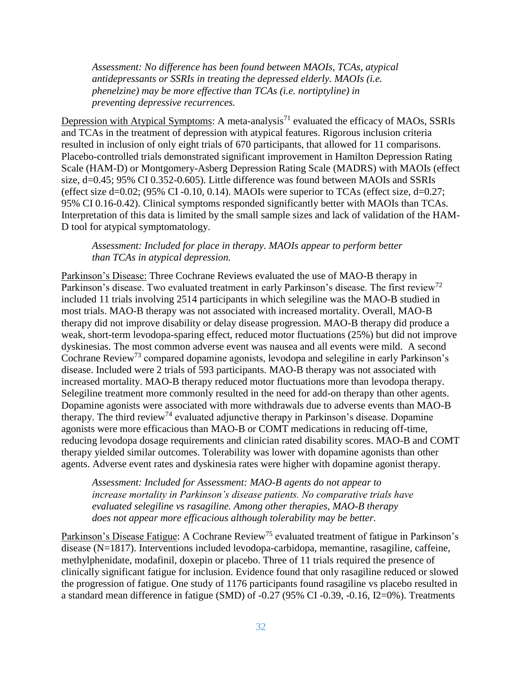*Assessment: No difference has been found between MAOIs, TCAs, atypical antidepressants or SSRIs in treating the depressed elderly. MAOIs (i.e. phenelzine) may be more effective than TCAs (i.e. nortiptyline) in preventing depressive recurrences.* 

Depression with Atypical Symptoms: A meta-analysis<sup>71</sup> evaluated the efficacy of MAOs, SSRIs and TCAs in the treatment of depression with atypical features. Rigorous inclusion criteria resulted in inclusion of only eight trials of 670 participants, that allowed for 11 comparisons. Placebo-controlled trials demonstrated significant improvement in Hamilton Depression Rating Scale (HAM-D) or Montgomery-Asberg Depression Rating Scale (MADRS) with MAOIs (effect size, d=0.45; 95% CI 0.352-0.605). Little difference was found between MAOIs and SSRIs (effect size d=0.02; (95% CI-0.10, 0.14). MAOIs were superior to TCAs (effect size, d=0.27; 95% CI 0.16-0.42). Clinical symptoms responded significantly better with MAOIs than TCAs. Interpretation of this data is limited by the small sample sizes and lack of validation of the HAM-D tool for atypical symptomatology.

*Assessment: Included for place in therapy. MAOIs appear to perform better than TCAs in atypical depression.*

Parkinson's Disease: Three Cochrane Reviews evaluated the use of MAO-B therapy in Parkinson's disease. Two evaluated treatment in early Parkinson's disease. The first review<sup>72</sup> included 11 trials involving 2514 participants in which selegiline was the MAO-B studied in most trials. MAO-B therapy was not associated with increased mortality. Overall, MAO-B therapy did not improve disability or delay disease progression. MAO-B therapy did produce a weak, short-term levodopa-sparing effect, reduced motor fluctuations (25%) but did not improve dyskinesias. The most common adverse event was nausea and all events were mild. A second Cochrane Review<sup>73</sup> compared dopamine agonists, levodopa and selegiline in early Parkinson's disease. Included were 2 trials of 593 participants. MAO-B therapy was not associated with increased mortality. MAO-B therapy reduced motor fluctuations more than levodopa therapy. Selegiline treatment more commonly resulted in the need for add-on therapy than other agents. Dopamine agonists were associated with more withdrawals due to adverse events than MAO-B therapy. The third review<sup>74</sup> evaluated adjunctive therapy in Parkinson's disease. Dopamine agonists were more efficacious than MAO-B or COMT medications in reducing off-time, reducing levodopa dosage requirements and clinician rated disability scores. MAO-B and COMT therapy yielded similar outcomes. Tolerability was lower with dopamine agonists than other agents. Adverse event rates and dyskinesia rates were higher with dopamine agonist therapy.

*Assessment: Included for Assessment: MAO-B agents do not appear to increase mortality in Parkinson's disease patients. No comparative trials have evaluated selegiline vs rasagiline. Among other therapies, MAO-B therapy does not appear more efficacious although tolerability may be better.*

Parkinson's Disease Fatigue: A Cochrane Review<sup>75</sup> evaluated treatment of fatigue in Parkinson's disease (N=1817). Interventions included levodopa-carbidopa, memantine, rasagiline, caffeine, methylphenidate, modafinil, doxepin or placebo. Three of 11 trials required the presence of clinically significant fatigue for inclusion. Evidence found that only rasagiline reduced or slowed the progression of fatigue. One study of 1176 participants found rasagiline vs placebo resulted in a standard mean difference in fatigue (SMD) of -0.27 (95% CI -0.39, -0.16, I2=0%). Treatments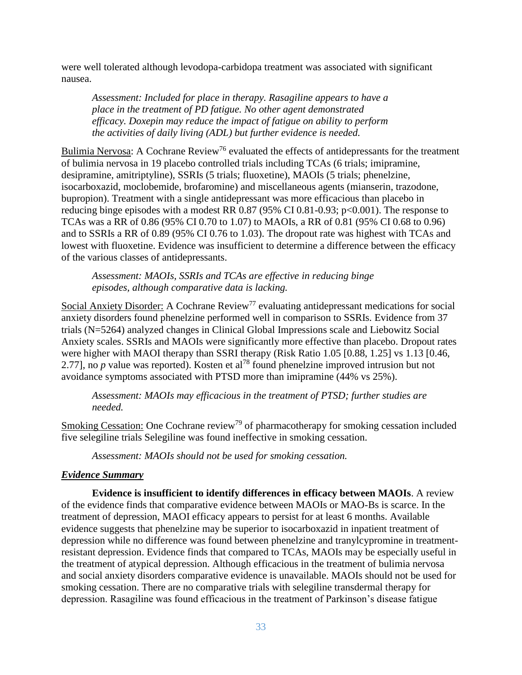were well tolerated although levodopa-carbidopa treatment was associated with significant nausea.

*Assessment: Included for place in therapy. Rasagiline appears to have a place in the treatment of PD fatigue. No other agent demonstrated efficacy. Doxepin may reduce the impact of fatigue on ability to perform the activities of daily living (ADL) but further evidence is needed.*

Bulimia Nervosa: A Cochrane Review<sup>76</sup> evaluated the effects of antidepressants for the treatment of bulimia nervosa in 19 placebo controlled trials including TCAs (6 trials; imipramine, desipramine, amitriptyline), SSRIs (5 trials; fluoxetine), MAOIs (5 trials; phenelzine, isocarboxazid, moclobemide, brofaromine) and miscellaneous agents (mianserin, trazodone, bupropion). Treatment with a single antidepressant was more efficacious than placebo in reducing binge episodes with a modest RR 0.87 (95% CI 0.81-0.93; p<0.001). The response to TCAs was a RR of 0.86 (95% CI 0.70 to 1.07) to MAOIs, a RR of 0.81 (95% CI 0.68 to 0.96) and to SSRIs a RR of 0.89 (95% CI 0.76 to 1.03). The dropout rate was highest with TCAs and lowest with fluoxetine. Evidence was insufficient to determine a difference between the efficacy of the various classes of antidepressants.

*Assessment: MAOIs, SSRIs and TCAs are effective in reducing binge episodes, although comparative data is lacking.* 

Social Anxiety Disorder: A Cochrane  $Review^{77}$  evaluating antidepressant medications for social anxiety disorders found phenelzine performed well in comparison to SSRIs. Evidence from 37 trials (N=5264) analyzed changes in Clinical Global Impressions scale and Liebowitz Social Anxiety scales. SSRIs and MAOIs were significantly more effective than placebo. Dropout rates were higher with MAOI therapy than SSRI therapy (Risk Ratio 1.05 [0.88, 1.25] vs 1.13 [0.46, 2.77], no *p* value was reported). Kosten et al<sup>78</sup> found phenelzine improved intrusion but not avoidance symptoms associated with PTSD more than imipramine (44% vs 25%).

*Assessment: MAOIs may efficacious in the treatment of PTSD; further studies are needed.*

Smoking Cessation: One Cochrane review<sup>79</sup> of pharmacotherapy for smoking cessation included five selegiline trials Selegiline was found ineffective in smoking cessation.

*Assessment: MAOIs should not be used for smoking cessation.* 

### *Evidence Summary*

**Evidence is insufficient to identify differences in efficacy between MAOIs**. A review of the evidence finds that comparative evidence between MAOIs or MAO-Bs is scarce. In the treatment of depression, MAOI efficacy appears to persist for at least 6 months. Available evidence suggests that phenelzine may be superior to isocarboxazid in inpatient treatment of depression while no difference was found between phenelzine and tranylcypromine in treatmentresistant depression. Evidence finds that compared to TCAs, MAOIs may be especially useful in the treatment of atypical depression. Although efficacious in the treatment of bulimia nervosa and social anxiety disorders comparative evidence is unavailable. MAOIs should not be used for smoking cessation. There are no comparative trials with selegiline transdermal therapy for depression. Rasagiline was found efficacious in the treatment of Parkinson's disease fatigue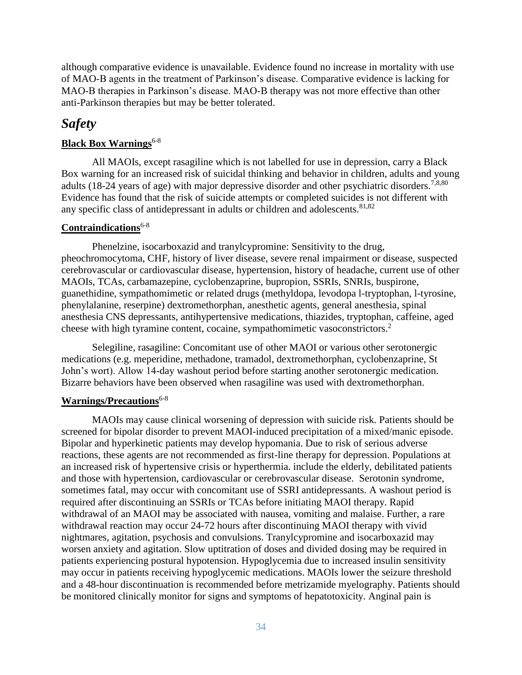although comparative evidence is unavailable. Evidence found no increase in mortality with use of MAO-B agents in the treatment of Parkinson's disease. Comparative evidence is lacking for MAO-B therapies in Parkinson's disease. MAO-B therapy was not more effective than other anti-Parkinson therapies but may be better tolerated.

# *Safety*

## **Black Box Warnings**<sup>6-8</sup>

All MAOIs, except rasagiline which is not labelled for use in depression, carry a Black Box warning for an increased risk of suicidal thinking and behavior in children, adults and young adults (18-24 years of age) with major depressive disorder and other psychiatric disorders.<sup>7,8,80</sup> Evidence has found that the risk of suicide attempts or completed suicides is not different with any specific class of antidepressant in adults or children and adolescents.  $81,82$ 

## **Contraindications**6-8

Phenelzine, isocarboxazid and tranylcypromine: Sensitivity to the drug, pheochromocytoma, CHF, history of liver disease, severe renal impairment or disease, suspected cerebrovascular or cardiovascular disease, hypertension, history of headache, current use of other MAOIs, TCAs, carbamazepine, cyclobenzaprine, bupropion, SSRIs, SNRIs, buspirone, guanethidine, sympathomimetic or related drugs (methyldopa, levodopa l-tryptophan, l-tyrosine, phenylalanine, reserpine) dextromethorphan, anesthetic agents, general anesthesia, spinal anesthesia CNS depressants, antihypertensive medications, thiazides, tryptophan, caffeine, aged cheese with high tyramine content, cocaine, sympathomimetic vasoconstrictors.<sup>2</sup>

Selegiline, rasagiline: Concomitant use of other MAOI or various other serotonergic medications (e.g. meperidine, methadone, tramadol, dextromethorphan, cyclobenzaprine, St John's wort). Allow 14-day washout period before starting another serotonergic medication. Bizarre behaviors have been observed when rasagiline was used with dextromethorphan.

### **Warnings/Precautions**6-8

MAOIs may cause clinical worsening of depression with suicide risk. Patients should be screened for bipolar disorder to prevent MAOI-induced precipitation of a mixed/manic episode. Bipolar and hyperkinetic patients may develop hypomania. Due to risk of serious adverse reactions, these agents are not recommended as first-line therapy for depression. Populations at an increased risk of hypertensive crisis or hyperthermia. include the elderly, debilitated patients and those with hypertension, cardiovascular or cerebrovascular disease. Serotonin syndrome, sometimes fatal, may occur with concomitant use of SSRI antidepressants. A washout period is required after discontinuing an SSRIs or TCAs before initiating MAOI therapy. Rapid withdrawal of an MAOI may be associated with nausea, vomiting and malaise. Further, a rare withdrawal reaction may occur 24-72 hours after discontinuing MAOI therapy with vivid nightmares, agitation, psychosis and convulsions. Tranylcypromine and isocarboxazid may worsen anxiety and agitation. Slow uptitration of doses and divided dosing may be required in patients experiencing postural hypotension. Hypoglycemia due to increased insulin sensitivity may occur in patients receiving hypoglycemic medications. MAOIs lower the seizure threshold and a 48-hour discontinuation is recommended before metrizamide myelography. Patients should be monitored clinically monitor for signs and symptoms of hepatotoxicity. Anginal pain is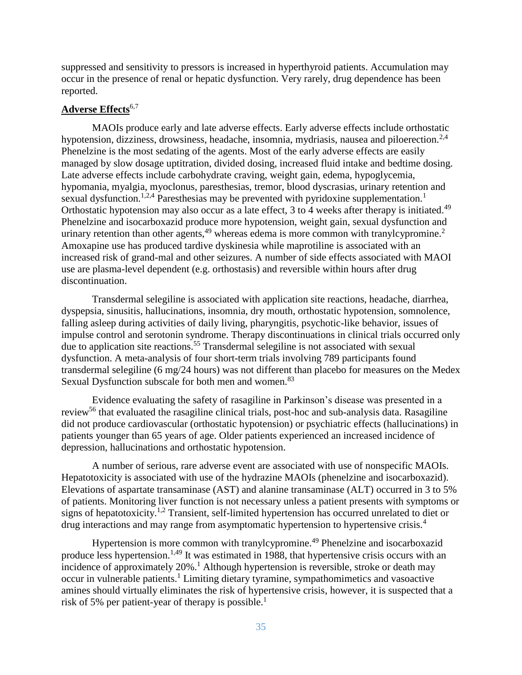suppressed and sensitivity to pressors is increased in hyperthyroid patients. Accumulation may occur in the presence of renal or hepatic dysfunction. Very rarely, drug dependence has been reported.

### **Adverse Effects**6,7

MAOIs produce early and late adverse effects. Early adverse effects include orthostatic hypotension, dizziness, drowsiness, headache, insomnia, mydriasis, nausea and piloerection.<sup>2,4</sup> Phenelzine is the most sedating of the agents. Most of the early adverse effects are easily managed by slow dosage uptitration, divided dosing, increased fluid intake and bedtime dosing. Late adverse effects include carbohydrate craving, weight gain, edema, hypoglycemia, hypomania, myalgia, myoclonus, paresthesias, tremor, blood dyscrasias, urinary retention and sexual dysfunction.<sup>1,2,4</sup> Paresthesias may be prevented with pyridoxine supplementation.<sup>1</sup> Orthostatic hypotension may also occur as a late effect, 3 to 4 weeks after therapy is initiated.<sup>49</sup> Phenelzine and isocarboxazid produce more hypotension, weight gain, sexual dysfunction and urinary retention than other agents, $49$  whereas edema is more common with tranylcypromine.<sup>2</sup> Amoxapine use has produced tardive dyskinesia while maprotiline is associated with an increased risk of grand-mal and other seizures. A number of side effects associated with MAOI use are plasma-level dependent (e.g. orthostasis) and reversible within hours after drug discontinuation.

Transdermal selegiline is associated with application site reactions, headache, diarrhea, dyspepsia, sinusitis, hallucinations, insomnia, dry mouth, orthostatic hypotension, somnolence, falling asleep during activities of daily living, pharyngitis, psychotic-like behavior, issues of impulse control and serotonin syndrome. Therapy discontinuations in clinical trials occurred only due to application site reactions.<sup>55</sup> Transdermal selegiline is not associated with sexual dysfunction. A meta-analysis of four short-term trials involving 789 participants found transdermal selegiline (6 mg/24 hours) was not different than placebo for measures on the Medex Sexual Dysfunction subscale for both men and women.<sup>83</sup>

Evidence evaluating the safety of rasagiline in Parkinson's disease was presented in a review<sup>56</sup> that evaluated the rasagiline clinical trials, post-hoc and sub-analysis data. Rasagiline did not produce cardiovascular (orthostatic hypotension) or psychiatric effects (hallucinations) in patients younger than 65 years of age. Older patients experienced an increased incidence of depression, hallucinations and orthostatic hypotension.

A number of serious, rare adverse event are associated with use of nonspecific MAOIs. Hepatotoxicity is associated with use of the hydrazine MAOIs (phenelzine and isocarboxazid). Elevations of aspartate transaminase (AST) and alanine transaminase (ALT) occurred in 3 to 5% of patients. Monitoring liver function is not necessary unless a patient presents with symptoms or signs of hepatotoxicity.<sup>1,2</sup> Transient, self-limited hypertension has occurred unrelated to diet or drug interactions and may range from asymptomatic hypertension to hypertensive crisis.<sup>4</sup>

Hypertension is more common with tranylcypromine.<sup>49</sup> Phenelzine and isocarboxazid produce less hypertension.<sup>1,49</sup> It was estimated in 1988, that hypertensive crisis occurs with an incidence of approximately  $20\%$ .<sup>1</sup> Although hypertension is reversible, stroke or death may occur in vulnerable patients.<sup>1</sup> Limiting dietary tyramine, sympathomimetics and vasoactive amines should virtually eliminates the risk of hypertensive crisis, however, it is suspected that a risk of 5% per patient-year of therapy is possible.<sup>1</sup>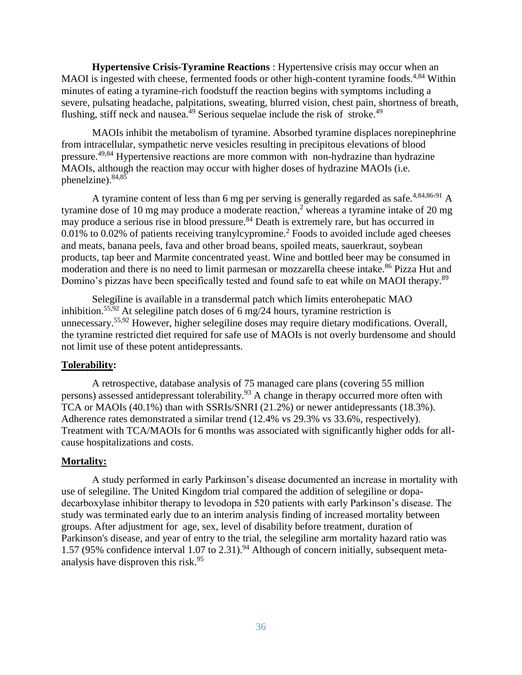**Hypertensive Crisis-Tyramine Reactions** : Hypertensive crisis may occur when an MAOI is ingested with cheese, fermented foods or other high-content tyramine foods.<sup>4,84</sup> Within minutes of eating a tyramine-rich foodstuff the reaction begins with symptoms including a severe, pulsating headache, palpitations, sweating, blurred vision, chest pain, shortness of breath, flushing, stiff neck and nausea.<sup>49</sup> Serious sequelae include the risk of stroke.<sup>49</sup>

MAOIs inhibit the metabolism of tyramine. Absorbed tyramine displaces norepinephrine from intracellular, sympathetic nerve vesicles resulting in precipitous elevations of blood pressure.49,84 Hypertensive reactions are more common with non-hydrazine than hydrazine MAOIs, although the reaction may occur with higher doses of hydrazine MAOIs (i.e. phenelzine).84,85

A tyramine content of less than 6 mg per serving is generally regarded as safe.<sup>4,84,86-91</sup> A tyramine dose of 10 mg may produce a moderate reaction,<sup>2</sup> whereas a tyramine intake of 20 mg may produce a serious rise in blood pressure.<sup>84</sup> Death is extremely rare, but has occurred in 0.01% to 0.02% of patients receiving tranylcypromine.<sup>2</sup> Foods to avoided include aged cheeses and meats, banana peels, fava and other broad beans, spoiled meats, sauerkraut, soybean products, tap beer and Marmite concentrated yeast. Wine and bottled beer may be consumed in moderation and there is no need to limit parmesan or mozzarella cheese intake. <sup>86</sup> Pizza Hut and Domino's pizzas have been specifically tested and found safe to eat while on MAOI therapy.<sup>89</sup>

Selegiline is available in a transdermal patch which limits enterohepatic MAO inhibition.<sup>55,92</sup> At selegiline patch doses of 6 mg/24 hours, tyramine restriction is unnecessary.55,92 However, higher selegiline doses may require dietary modifications. Overall, the tyramine restricted diet required for safe use of MAOIs is not overly burdensome and should not limit use of these potent antidepressants.

### **Tolerability:**

A retrospective, database analysis of 75 managed care plans (covering 55 million persons) assessed antidepressant tolerability.<sup>93</sup> A change in therapy occurred more often with TCA or MAOIs (40.1%) than with SSRIs/SNRI (21.2%) or newer antidepressants (18.3%). Adherence rates demonstrated a similar trend (12.4% vs 29.3% vs 33.6%, respectively). Treatment with TCA/MAOIs for 6 months was associated with significantly higher odds for allcause hospitalizations and costs.

### **Mortality:**

A study performed in early Parkinson's disease documented an increase in mortality with use of selegiline. The United Kingdom trial compared the addition of selegiline or dopadecarboxylase inhibitor therapy to levodopa in 520 patients with early Parkinson's disease. The study was terminated early due to an interim analysis finding of increased mortality between groups. After adjustment for age, sex, level of disability before treatment, duration of Parkinson's disease, and year of entry to the trial, the selegiline arm mortality hazard ratio was 1.57 (95% confidence interval 1.07 to 2.31).<sup>94</sup> Although of concern initially, subsequent metaanalysis have disproven this risk.<sup>95</sup>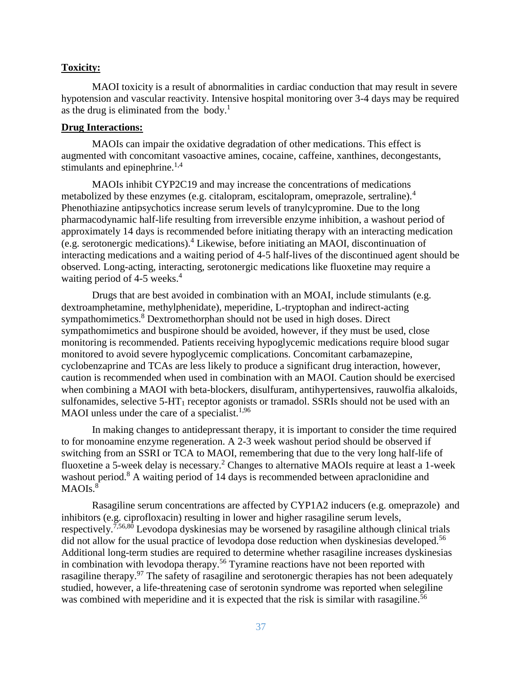### **Toxicity:**

MAOI toxicity is a result of abnormalities in cardiac conduction that may result in severe hypotension and vascular reactivity. Intensive hospital monitoring over 3-4 days may be required as the drug is eliminated from the body.<sup>1</sup>

### **Drug Interactions:**

MAOIs can impair the oxidative degradation of other medications. This effect is augmented with concomitant vasoactive amines, cocaine, caffeine, xanthines, decongestants, stimulants and epinephrine. $1,4$ 

MAOIs inhibit CYP2C19 and may increase the concentrations of medications metabolized by these enzymes (e.g. citalopram, escitalopram, omeprazole, sertraline).<sup>4</sup> Phenothiazine antipsychotics increase serum levels of tranylcypromine. Due to the long pharmacodynamic half-life resulting from irreversible enzyme inhibition, a washout period of approximately 14 days is recommended before initiating therapy with an interacting medication (e.g. serotonergic medications).<sup>4</sup> Likewise, before initiating an MAOI, discontinuation of interacting medications and a waiting period of 4-5 half-lives of the discontinued agent should be observed. Long-acting, interacting, serotonergic medications like fluoxetine may require a waiting period of 4-5 weeks. $4$ 

Drugs that are best avoided in combination with an MOAI, include stimulants (e.g. dextroamphetamine, methylphenidate), meperidine, L-tryptophan and indirect-acting sympathomimetics.<sup>8</sup> Dextromethorphan should not be used in high doses. Direct sympathomimetics and buspirone should be avoided, however, if they must be used, close monitoring is recommended. Patients receiving hypoglycemic medications require blood sugar monitored to avoid severe hypoglycemic complications. Concomitant carbamazepine, cyclobenzaprine and TCAs are less likely to produce a significant drug interaction, however, caution is recommended when used in combination with an MAOI. Caution should be exercised when combining a MAOI with beta-blockers, disulfuram, antihypertensives, rauwolfia alkaloids, sulfonamides, selective  $5-HT_1$  receptor agonists or tramadol. SSRIs should not be used with an MAOI unless under the care of a specialist.<sup>1,96</sup>

In making changes to antidepressant therapy, it is important to consider the time required to for monoamine enzyme regeneration. A 2-3 week washout period should be observed if switching from an SSRI or TCA to MAOI, remembering that due to the very long half-life of fluoxetine a 5-week delay is necessary.<sup>2</sup> Changes to alternative MAOIs require at least a 1-week washout period.<sup>8</sup> A waiting period of 14 days is recommended between apraclonidine and  $MAOIs.<sup>8</sup>$ 

Rasagiline serum concentrations are affected by CYP1A2 inducers (e.g. omeprazole) and inhibitors (e.g. ciprofloxacin) resulting in lower and higher rasagiline serum levels, respectively.7,56,80 Levodopa dyskinesias may be worsened by rasagiline although clinical trials did not allow for the usual practice of levodopa dose reduction when dyskinesias developed.<sup>56</sup> Additional long-term studies are required to determine whether rasagiline increases dyskinesias in combination with levodopa therapy.<sup>56</sup> Tyramine reactions have not been reported with rasagiline therapy.<sup>97</sup> The safety of rasagiline and serotonergic therapies has not been adequately studied, however, a life-threatening case of serotonin syndrome was reported when selegiline was combined with meperidine and it is expected that the risk is similar with rasagiline.<sup>56</sup>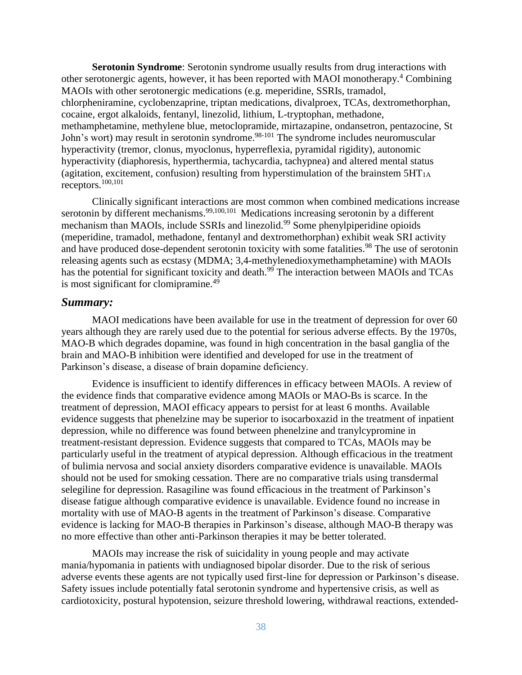**Serotonin Syndrome**: Serotonin syndrome usually results from drug interactions with other serotonergic agents, however, it has been reported with MAOI monotherapy.<sup>4</sup> Combining MAOIs with other serotonergic medications (e.g. meperidine, SSRIs, tramadol, chlorpheniramine, cyclobenzaprine, triptan medications, divalproex, TCAs, dextromethorphan, cocaine, ergot alkaloids, fentanyl, linezolid, lithium, L-tryptophan, methadone, methamphetamine, methylene blue, metoclopramide, mirtazapine, ondansetron, pentazocine, St John's wort) may result in serotonin syndrome.<sup>98-101</sup> The syndrome includes neuromuscular hyperactivity (tremor, clonus, myoclonus, hyperreflexia, pyramidal rigidity), autonomic hyperactivity (diaphoresis, hyperthermia, tachycardia, tachypnea) and altered mental status (agitation, excitement, confusion) resulting from hyperstimulation of the brainstem  $5HT<sub>1A</sub>$ receptors. 100,101

Clinically significant interactions are most common when combined medications increase serotonin by different mechanisms.<sup>99,100,101</sup> Medications increasing serotonin by a different mechanism than MAOIs, include SSRIs and linezolid.<sup>99</sup> Some phenylpiperidine opioids (meperidine, tramadol, methadone, fentanyl and dextromethorphan) exhibit weak SRI activity and have produced dose-dependent serotonin toxicity with some fatalities.<sup>98</sup> The use of serotonin releasing agents such as ecstasy (MDMA; 3,4-methylenedioxymethamphetamine) with MAOIs has the potential for significant toxicity and death.<sup>99</sup> The interaction between MAOIs and TCAs is most significant for clomipramine.<sup>49</sup>

### <span id="page-37-0"></span>*Summary:*

MAOI medications have been available for use in the treatment of depression for over 60 years although they are rarely used due to the potential for serious adverse effects. By the 1970s, MAO-B which degrades dopamine, was found in high concentration in the basal ganglia of the brain and MAO-B inhibition were identified and developed for use in the treatment of Parkinson's disease, a disease of brain dopamine deficiency.

Evidence is insufficient to identify differences in efficacy between MAOIs. A review of the evidence finds that comparative evidence among MAOIs or MAO-Bs is scarce. In the treatment of depression, MAOI efficacy appears to persist for at least 6 months. Available evidence suggests that phenelzine may be superior to isocarboxazid in the treatment of inpatient depression, while no difference was found between phenelzine and tranylcypromine in treatment-resistant depression. Evidence suggests that compared to TCAs, MAOIs may be particularly useful in the treatment of atypical depression. Although efficacious in the treatment of bulimia nervosa and social anxiety disorders comparative evidence is unavailable. MAOIs should not be used for smoking cessation. There are no comparative trials using transdermal selegiline for depression. Rasagiline was found efficacious in the treatment of Parkinson's disease fatigue although comparative evidence is unavailable. Evidence found no increase in mortality with use of MAO-B agents in the treatment of Parkinson's disease. Comparative evidence is lacking for MAO-B therapies in Parkinson's disease, although MAO-B therapy was no more effective than other anti-Parkinson therapies it may be better tolerated.

MAOIs may increase the risk of suicidality in young people and may activate mania/hypomania in patients with undiagnosed bipolar disorder. Due to the risk of serious adverse events these agents are not typically used first-line for depression or Parkinson's disease. Safety issues include potentially fatal serotonin syndrome and hypertensive crisis, as well as cardiotoxicity, postural hypotension, seizure threshold lowering, withdrawal reactions, extended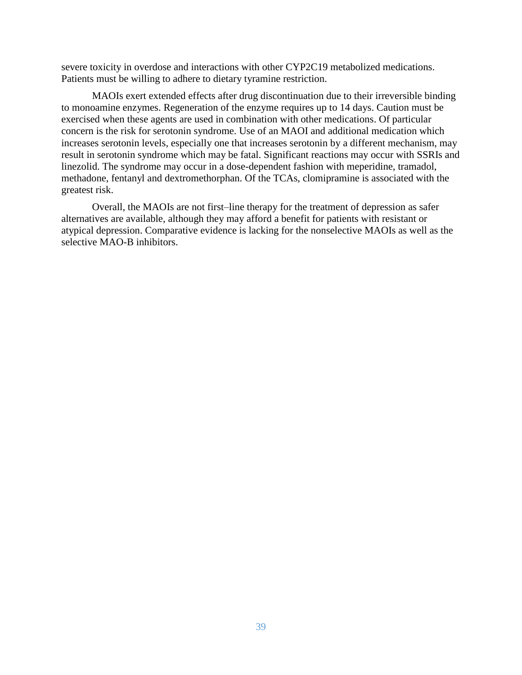severe toxicity in overdose and interactions with other CYP2C19 metabolized medications. Patients must be willing to adhere to dietary tyramine restriction.

MAOIs exert extended effects after drug discontinuation due to their irreversible binding to monoamine enzymes. Regeneration of the enzyme requires up to 14 days. Caution must be exercised when these agents are used in combination with other medications. Of particular concern is the risk for serotonin syndrome. Use of an MAOI and additional medication which increases serotonin levels, especially one that increases serotonin by a different mechanism, may result in serotonin syndrome which may be fatal. Significant reactions may occur with SSRIs and linezolid. The syndrome may occur in a dose-dependent fashion with meperidine, tramadol, methadone, fentanyl and dextromethorphan. Of the TCAs, clomipramine is associated with the greatest risk.

Overall, the MAOIs are not first–line therapy for the treatment of depression as safer alternatives are available, although they may afford a benefit for patients with resistant or atypical depression. Comparative evidence is lacking for the nonselective MAOIs as well as the selective MAO-B inhibitors.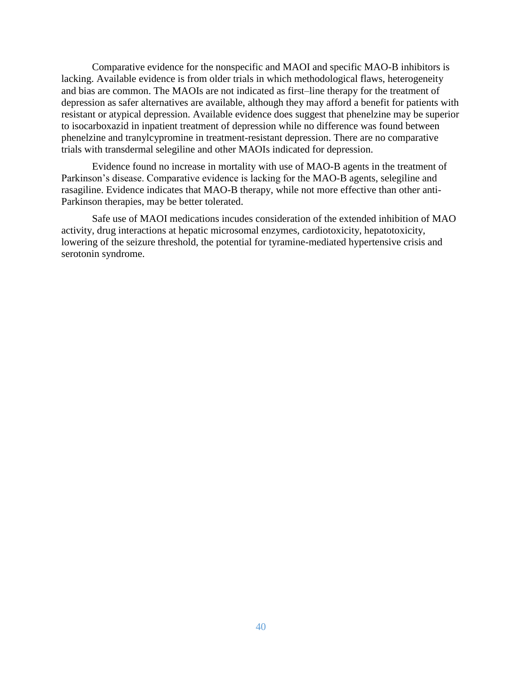Comparative evidence for the nonspecific and MAOI and specific MAO-B inhibitors is lacking. Available evidence is from older trials in which methodological flaws, heterogeneity and bias are common. The MAOIs are not indicated as first–line therapy for the treatment of depression as safer alternatives are available, although they may afford a benefit for patients with resistant or atypical depression. Available evidence does suggest that phenelzine may be superior to isocarboxazid in inpatient treatment of depression while no difference was found between phenelzine and tranylcypromine in treatment-resistant depression. There are no comparative trials with transdermal selegiline and other MAOIs indicated for depression.

Evidence found no increase in mortality with use of MAO-B agents in the treatment of Parkinson's disease. Comparative evidence is lacking for the MAO-B agents, selegiline and rasagiline. Evidence indicates that MAO-B therapy, while not more effective than other anti-Parkinson therapies, may be better tolerated.

Safe use of MAOI medications incudes consideration of the extended inhibition of MAO activity, drug interactions at hepatic microsomal enzymes, cardiotoxicity, hepatotoxicity, lowering of the seizure threshold, the potential for tyramine-mediated hypertensive crisis and serotonin syndrome.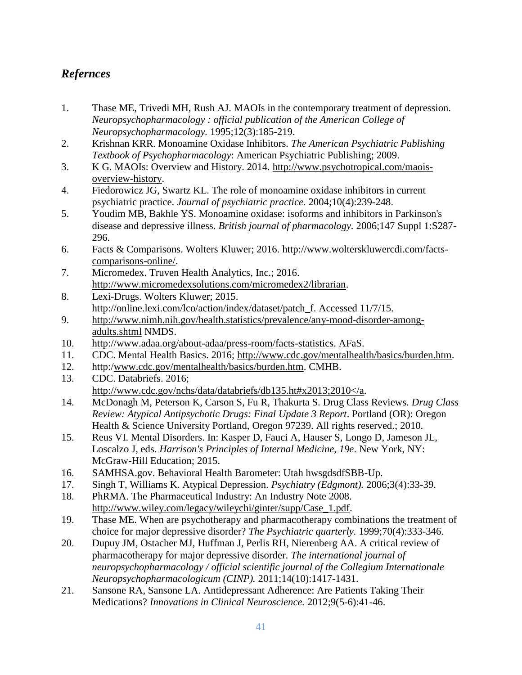# <span id="page-40-0"></span>*Refernces*

- 1. Thase ME, Trivedi MH, Rush AJ. MAOIs in the contemporary treatment of depression. *Neuropsychopharmacology : official publication of the American College of Neuropsychopharmacology.* 1995;12(3):185-219.
- 2. Krishnan KRR. Monoamine Oxidase Inhibitors. *The American Psychiatric Publishing Textbook of Psychopharmacology*: American Psychiatric Publishing; 2009.
- 3. K G. MAOIs: Overview and History. 2014. [http://www.psychotropical.com/maois](http://www.psychotropical.com/maois-overview-history)[overview-history.](http://www.psychotropical.com/maois-overview-history)
- 4. Fiedorowicz JG, Swartz KL. The role of monoamine oxidase inhibitors in current psychiatric practice. *Journal of psychiatric practice.* 2004;10(4):239-248.
- 5. Youdim MB, Bakhle YS. Monoamine oxidase: isoforms and inhibitors in Parkinson's disease and depressive illness. *British journal of pharmacology.* 2006;147 Suppl 1:S287- 296.
- 6. Facts & Comparisons. Wolters Kluwer; 2016. [http://www.wolterskluwercdi.com/facts](http://www.wolterskluwercdi.com/facts-comparisons-online/)[comparisons-online/.](http://www.wolterskluwercdi.com/facts-comparisons-online/)
- 7. Micromedex. Truven Health Analytics, Inc.; 2016. [http://www.micromedexsolutions.com/micromedex2/librarian.](http://www.micromedexsolutions.com/micromedex2/librarian)
- 8. Lexi-Drugs. Wolters Kluwer; 2015. [http://online.lexi.com/lco/action/index/dataset/patch\\_f.](http://online.lexi.com/lco/action/index/dataset/patch_f) Accessed 11/7/15.
- 9. [http://www.nimh.nih.gov/health.statistics/prevalence/any-mood-disorder-among](http://www.nimh.nih.gov/health.statistics/prevalence/any-mood-disorder-among-adults.shtml)[adults.shtml](http://www.nimh.nih.gov/health.statistics/prevalence/any-mood-disorder-among-adults.shtml) NMDS.
- 10. [http://www.adaa.org/about-adaa/press-room/facts-statistics.](http://www.adaa.org/about-adaa/press-room/facts-statistics) AFaS.
- 11. CDC. Mental Health Basics. 2016; [http://www.cdc.gov/mentalhealth/basics/burden.htm.](http://www.cdc.gov/mentalhealth/basics/burden.htm)
- 12. http:[/www.cdc.gov/mentalhealth/basics/burden.htm.](http://www.cdc.gov/mentalhealth/basics/burden.htm) CMHB.
- 13. CDC. Databriefs. 2016; [http://www.cdc.gov/nchs/data/databriefs/db135.ht#x2013;2010</a.](http://www.cdc.gov/nchs/data/databriefs/db135.ht#x2013;2010</a)
- 14. McDonagh M, Peterson K, Carson S, Fu R, Thakurta S. Drug Class Reviews. *Drug Class Review: Atypical Antipsychotic Drugs: Final Update 3 Report*. Portland (OR): Oregon Health & Science University Portland, Oregon 97239. All rights reserved.; 2010.
- 15. Reus VI. Mental Disorders. In: Kasper D, Fauci A, Hauser S, Longo D, Jameson JL, Loscalzo J, eds. *Harrison's Principles of Internal Medicine, 19e*. New York, NY: McGraw-Hill Education; 2015.
- 16. SAMHSA.gov. Behavioral Health Barometer: Utah hwsgdsdfSBB-Up.
- 17. Singh T, Williams K. Atypical Depression. *Psychiatry (Edgmont).* 2006;3(4):33-39.
- 18. PhRMA. The Pharmaceutical Industry: An Industry Note 2008. [http://www.wiley.com/legacy/wileychi/ginter/supp/Case\\_1.pdf.](http://www.wiley.com/legacy/wileychi/ginter/supp/Case_1.pdf)
- 19. Thase ME. When are psychotherapy and pharmacotherapy combinations the treatment of choice for major depressive disorder? *The Psychiatric quarterly.* 1999;70(4):333-346.
- 20. Dupuy JM, Ostacher MJ, Huffman J, Perlis RH, Nierenberg AA. A critical review of pharmacotherapy for major depressive disorder. *The international journal of neuropsychopharmacology / official scientific journal of the Collegium Internationale Neuropsychopharmacologicum (CINP).* 2011;14(10):1417-1431.
- 21. Sansone RA, Sansone LA. Antidepressant Adherence: Are Patients Taking Their Medications? *Innovations in Clinical Neuroscience.* 2012;9(5-6):41-46.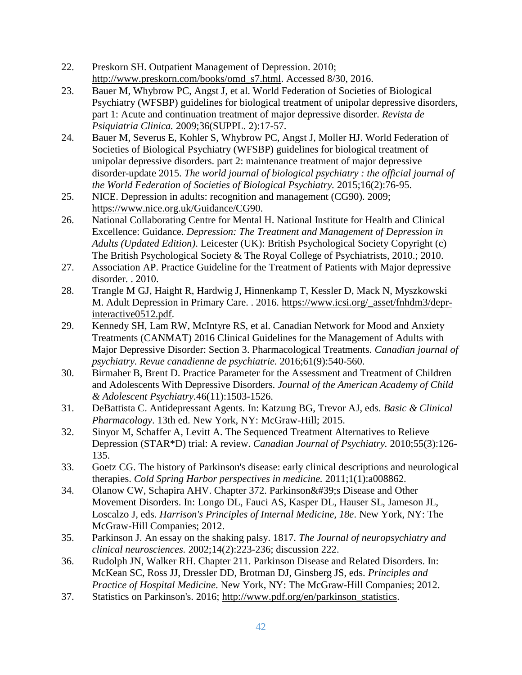- 22. Preskorn SH. Outpatient Management of Depression. 2010; [http://www.preskorn.com/books/omd\\_s7.html.](http://www.preskorn.com/books/omd_s7.html) Accessed 8/30, 2016.
- 23. Bauer M, Whybrow PC, Angst J, et al. World Federation of Societies of Biological Psychiatry (WFSBP) guidelines for biological treatment of unipolar depressive disorders, part 1: Acute and continuation treatment of major depressive disorder. *Revista de Psiquiatria Clinica.* 2009;36(SUPPL. 2):17-57.
- 24. Bauer M, Severus E, Kohler S, Whybrow PC, Angst J, Moller HJ. World Federation of Societies of Biological Psychiatry (WFSBP) guidelines for biological treatment of unipolar depressive disorders. part 2: maintenance treatment of major depressive disorder-update 2015. *The world journal of biological psychiatry : the official journal of the World Federation of Societies of Biological Psychiatry.* 2015;16(2):76-95.
- 25. NICE. Depression in adults: recognition and management (CG90). 2009; [https://www.nice.org.uk/Guidance/CG90.](https://www.nice.org.uk/Guidance/CG90)
- 26. National Collaborating Centre for Mental H. National Institute for Health and Clinical Excellence: Guidance. *Depression: The Treatment and Management of Depression in Adults (Updated Edition)*. Leicester (UK): British Psychological Society Copyright (c) The British Psychological Society & The Royal College of Psychiatrists, 2010.; 2010.
- 27. Association AP. Practice Guideline for the Treatment of Patients with Major depressive disorder. . 2010.
- 28. Trangle M GJ, Haight R, Hardwig J, Hinnenkamp T, Kessler D, Mack N, Myszkowski M. Adult Depression in Primary Care. . 2016. [https://www.icsi.org/\\_asset/fnhdm3/depr](https://www.icsi.org/_asset/fnhdm3/depr-interactive0512.pdf)[interactive0512.pdf.](https://www.icsi.org/_asset/fnhdm3/depr-interactive0512.pdf)
- 29. Kennedy SH, Lam RW, McIntyre RS, et al. Canadian Network for Mood and Anxiety Treatments (CANMAT) 2016 Clinical Guidelines for the Management of Adults with Major Depressive Disorder: Section 3. Pharmacological Treatments. *Canadian journal of psychiatry. Revue canadienne de psychiatrie.* 2016;61(9):540-560.
- 30. Birmaher B, Brent D. Practice Parameter for the Assessment and Treatment of Children and Adolescents With Depressive Disorders. *Journal of the American Academy of Child & Adolescent Psychiatry.*46(11):1503-1526.
- 31. DeBattista C. Antidepressant Agents. In: Katzung BG, Trevor AJ, eds. *Basic & Clinical Pharmacology*. 13th ed. New York, NY: McGraw-Hill; 2015.
- 32. Sinyor M, Schaffer A, Levitt A. The Sequenced Treatment Alternatives to Relieve Depression (STAR\*D) trial: A review. *Canadian Journal of Psychiatry.* 2010;55(3):126- 135.
- 33. Goetz CG. The history of Parkinson's disease: early clinical descriptions and neurological therapies. *Cold Spring Harbor perspectives in medicine.* 2011;1(1):a008862.
- 34. Olanow CW, Schapira AHV. Chapter 372. Parkinson & #39; S Disease and Other Movement Disorders. In: Longo DL, Fauci AS, Kasper DL, Hauser SL, Jameson JL, Loscalzo J, eds. *Harrison's Principles of Internal Medicine, 18e*. New York, NY: The McGraw-Hill Companies; 2012.
- 35. Parkinson J. An essay on the shaking palsy. 1817. *The Journal of neuropsychiatry and clinical neurosciences.* 2002;14(2):223-236; discussion 222.
- 36. Rudolph JN, Walker RH. Chapter 211. Parkinson Disease and Related Disorders. In: McKean SC, Ross JJ, Dressler DD, Brotman DJ, Ginsberg JS, eds. *Principles and Practice of Hospital Medicine*. New York, NY: The McGraw-Hill Companies; 2012.
- 37. Statistics on Parkinson's. 2016; [http://www.pdf.org/en/parkinson\\_statistics.](http://www.pdf.org/en/parkinson_statistics)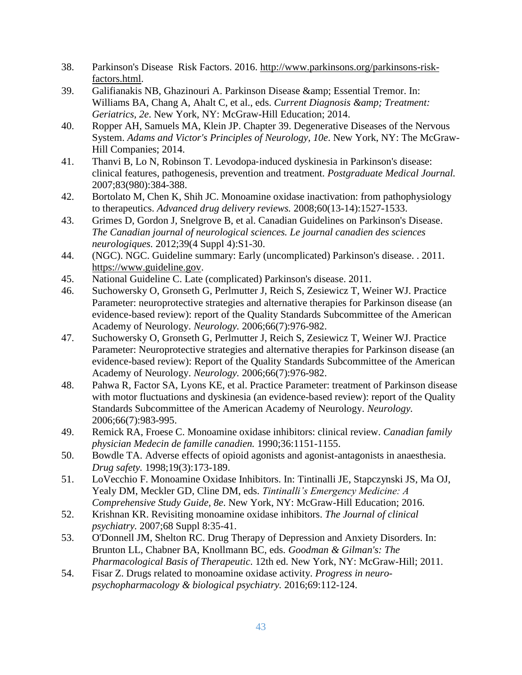- 38. Parkinson's Disease Risk Factors. 2016. [http://www.parkinsons.org/parkinsons-risk](http://www.parkinsons.org/parkinsons-risk-factors.html)[factors.html.](http://www.parkinsons.org/parkinsons-risk-factors.html)
- 39. Galifianakis NB, Ghazinouri A. Parkinson Disease & amp; Essential Tremor. In: Williams BA, Chang A, Ahalt C, et al., eds. *Current Diagnosis & amp*; Treatment: *Geriatrics, 2e*. New York, NY: McGraw-Hill Education; 2014.
- 40. Ropper AH, Samuels MA, Klein JP. Chapter 39. Degenerative Diseases of the Nervous System. *Adams and Victor's Principles of Neurology, 10e*. New York, NY: The McGraw-Hill Companies; 2014.
- 41. Thanvi B, Lo N, Robinson T. Levodopa‐induced dyskinesia in Parkinson's disease: clinical features, pathogenesis, prevention and treatment. *Postgraduate Medical Journal.*  2007;83(980):384-388.
- 42. Bortolato M, Chen K, Shih JC. Monoamine oxidase inactivation: from pathophysiology to therapeutics. *Advanced drug delivery reviews.* 2008;60(13-14):1527-1533.
- 43. Grimes D, Gordon J, Snelgrove B, et al. Canadian Guidelines on Parkinson's Disease. *The Canadian journal of neurological sciences. Le journal canadien des sciences neurologiques.* 2012;39(4 Suppl 4):S1-30.
- 44. (NGC). NGC. Guideline summary: Early (uncomplicated) Parkinson's disease. . 2011. [https://www.guideline.gov.](https://www.guideline.gov/)
- 45. National Guideline C. Late (complicated) Parkinson's disease. 2011.
- 46. Suchowersky O, Gronseth G, Perlmutter J, Reich S, Zesiewicz T, Weiner WJ. Practice Parameter: neuroprotective strategies and alternative therapies for Parkinson disease (an evidence-based review): report of the Quality Standards Subcommittee of the American Academy of Neurology. *Neurology.* 2006;66(7):976-982.
- 47. Suchowersky O, Gronseth G, Perlmutter J, Reich S, Zesiewicz T, Weiner WJ. Practice Parameter: Neuroprotective strategies and alternative therapies for Parkinson disease (an evidence-based review): Report of the Quality Standards Subcommittee of the American Academy of Neurology. *Neurology.* 2006;66(7):976-982.
- 48. Pahwa R, Factor SA, Lyons KE, et al. Practice Parameter: treatment of Parkinson disease with motor fluctuations and dyskinesia (an evidence-based review): report of the Quality Standards Subcommittee of the American Academy of Neurology. *Neurology.*  2006;66(7):983-995.
- 49. Remick RA, Froese C. Monoamine oxidase inhibitors: clinical review. *Canadian family physician Medecin de famille canadien.* 1990;36:1151-1155.
- 50. Bowdle TA. Adverse effects of opioid agonists and agonist-antagonists in anaesthesia. *Drug safety.* 1998;19(3):173-189.
- 51. LoVecchio F. Monoamine Oxidase Inhibitors. In: Tintinalli JE, Stapczynski JS, Ma OJ, Yealy DM, Meckler GD, Cline DM, eds. *Tintinalli's Emergency Medicine: A Comprehensive Study Guide, 8e*. New York, NY: McGraw-Hill Education; 2016.
- 52. Krishnan KR. Revisiting monoamine oxidase inhibitors. *The Journal of clinical psychiatry.* 2007;68 Suppl 8:35-41.
- 53. O'Donnell JM, Shelton RC. Drug Therapy of Depression and Anxiety Disorders. In: Brunton LL, Chabner BA, Knollmann BC, eds. *Goodman & Gilman's: The Pharmacological Basis of Therapeutic*. 12th ed. New York, NY: McGraw-Hill; 2011.
- 54. Fisar Z. Drugs related to monoamine oxidase activity. *Progress in neuropsychopharmacology & biological psychiatry.* 2016;69:112-124.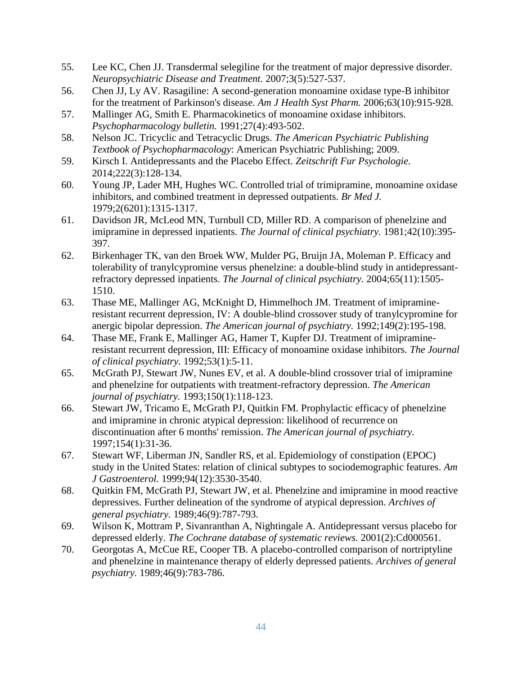- 55. Lee KC, Chen JJ. Transdermal selegiline for the treatment of major depressive disorder. *Neuropsychiatric Disease and Treatment.* 2007;3(5):527-537.
- 56. Chen JJ, Ly AV. Rasagiline: A second-generation monoamine oxidase type-B inhibitor for the treatment of Parkinson's disease. *Am J Health Syst Pharm.* 2006;63(10):915-928.
- 57. Mallinger AG, Smith E. Pharmacokinetics of monoamine oxidase inhibitors. *Psychopharmacology bulletin.* 1991;27(4):493-502.
- 58. Nelson JC. Tricyclic and Tetracyclic Drugs. *The American Psychiatric Publishing Textbook of Psychopharmacology*: American Psychiatric Publishing; 2009.
- 59. Kirsch I. Antidepressants and the Placebo Effect. *Zeitschrift Fur Psychologie.*  2014;222(3):128-134.
- 60. Young JP, Lader MH, Hughes WC. Controlled trial of trimipramine, monoamine oxidase inhibitors, and combined treatment in depressed outpatients. *Br Med J.*  1979;2(6201):1315-1317.
- 61. Davidson JR, McLeod MN, Turnbull CD, Miller RD. A comparison of phenelzine and imipramine in depressed inpatients. *The Journal of clinical psychiatry.* 1981;42(10):395- 397.
- 62. Birkenhager TK, van den Broek WW, Mulder PG, Bruijn JA, Moleman P. Efficacy and tolerability of tranylcypromine versus phenelzine: a double-blind study in antidepressantrefractory depressed inpatients. *The Journal of clinical psychiatry.* 2004;65(11):1505- 1510.
- 63. Thase ME, Mallinger AG, McKnight D, Himmelhoch JM. Treatment of imipramineresistant recurrent depression, IV: A double-blind crossover study of tranylcypromine for anergic bipolar depression. *The American journal of psychiatry.* 1992;149(2):195-198.
- 64. Thase ME, Frank E, Mallinger AG, Hamer T, Kupfer DJ. Treatment of imipramineresistant recurrent depression, III: Efficacy of monoamine oxidase inhibitors. *The Journal of clinical psychiatry.* 1992;53(1):5-11.
- 65. McGrath PJ, Stewart JW, Nunes EV, et al. A double-blind crossover trial of imipramine and phenelzine for outpatients with treatment-refractory depression. *The American journal of psychiatry.* 1993;150(1):118-123.
- 66. Stewart JW, Tricamo E, McGrath PJ, Quitkin FM. Prophylactic efficacy of phenelzine and imipramine in chronic atypical depression: likelihood of recurrence on discontinuation after 6 months' remission. *The American journal of psychiatry.*  1997;154(1):31-36.
- 67. Stewart WF, Liberman JN, Sandler RS, et al. Epidemiology of constipation (EPOC) study in the United States: relation of clinical subtypes to sociodemographic features. *Am J Gastroenterol.* 1999;94(12):3530-3540.
- 68. Quitkin FM, McGrath PJ, Stewart JW, et al. Phenelzine and imipramine in mood reactive depressives. Further delineation of the syndrome of atypical depression. *Archives of general psychiatry.* 1989;46(9):787-793.
- 69. Wilson K, Mottram P, Sivanranthan A, Nightingale A. Antidepressant versus placebo for depressed elderly. *The Cochrane database of systematic reviews.* 2001(2):Cd000561.
- 70. Georgotas A, McCue RE, Cooper TB. A placebo-controlled comparison of nortriptyline and phenelzine in maintenance therapy of elderly depressed patients. *Archives of general psychiatry.* 1989;46(9):783-786.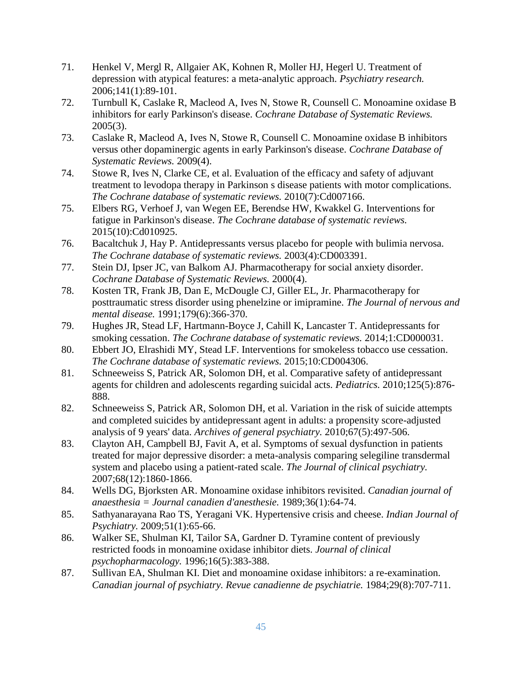- 71. Henkel V, Mergl R, Allgaier AK, Kohnen R, Moller HJ, Hegerl U. Treatment of depression with atypical features: a meta-analytic approach. *Psychiatry research.*  2006;141(1):89-101.
- 72. Turnbull K, Caslake R, Macleod A, Ives N, Stowe R, Counsell C. Monoamine oxidase B inhibitors for early Parkinson's disease. *Cochrane Database of Systematic Reviews.*  2005(3).
- 73. Caslake R, Macleod A, Ives N, Stowe R, Counsell C. Monoamine oxidase B inhibitors versus other dopaminergic agents in early Parkinson's disease. *Cochrane Database of Systematic Reviews.* 2009(4).
- 74. Stowe R, Ives N, Clarke CE, et al. Evaluation of the efficacy and safety of adjuvant treatment to levodopa therapy in Parkinson s disease patients with motor complications. *The Cochrane database of systematic reviews.* 2010(7):Cd007166.
- 75. Elbers RG, Verhoef J, van Wegen EE, Berendse HW, Kwakkel G. Interventions for fatigue in Parkinson's disease. *The Cochrane database of systematic reviews.*  2015(10):Cd010925.
- 76. Bacaltchuk J, Hay P. Antidepressants versus placebo for people with bulimia nervosa. *The Cochrane database of systematic reviews.* 2003(4):CD003391.
- 77. Stein DJ, Ipser JC, van Balkom AJ. Pharmacotherapy for social anxiety disorder. *Cochrane Database of Systematic Reviews.* 2000(4).
- 78. Kosten TR, Frank JB, Dan E, McDougle CJ, Giller EL, Jr. Pharmacotherapy for posttraumatic stress disorder using phenelzine or imipramine. *The Journal of nervous and mental disease.* 1991;179(6):366-370.
- 79. Hughes JR, Stead LF, Hartmann-Boyce J, Cahill K, Lancaster T. Antidepressants for smoking cessation. *The Cochrane database of systematic reviews.* 2014;1:CD000031.
- 80. Ebbert JO, Elrashidi MY, Stead LF. Interventions for smokeless tobacco use cessation. *The Cochrane database of systematic reviews.* 2015;10:CD004306.
- 81. Schneeweiss S, Patrick AR, Solomon DH, et al. Comparative safety of antidepressant agents for children and adolescents regarding suicidal acts. *Pediatrics.* 2010;125(5):876- 888.
- 82. Schneeweiss S, Patrick AR, Solomon DH, et al. Variation in the risk of suicide attempts and completed suicides by antidepressant agent in adults: a propensity score-adjusted analysis of 9 years' data. *Archives of general psychiatry.* 2010;67(5):497-506.
- 83. Clayton AH, Campbell BJ, Favit A, et al. Symptoms of sexual dysfunction in patients treated for major depressive disorder: a meta-analysis comparing selegiline transdermal system and placebo using a patient-rated scale. *The Journal of clinical psychiatry.*  2007;68(12):1860-1866.
- 84. Wells DG, Bjorksten AR. Monoamine oxidase inhibitors revisited. *Canadian journal of anaesthesia = Journal canadien d'anesthesie.* 1989;36(1):64-74.
- 85. Sathyanarayana Rao TS, Yeragani VK. Hypertensive crisis and cheese. *Indian Journal of Psychiatry.* 2009;51(1):65-66.
- 86. Walker SE, Shulman KI, Tailor SA, Gardner D. Tyramine content of previously restricted foods in monoamine oxidase inhibitor diets. *Journal of clinical psychopharmacology.* 1996;16(5):383-388.
- 87. Sullivan EA, Shulman KI. Diet and monoamine oxidase inhibitors: a re-examination. *Canadian journal of psychiatry. Revue canadienne de psychiatrie.* 1984;29(8):707-711.